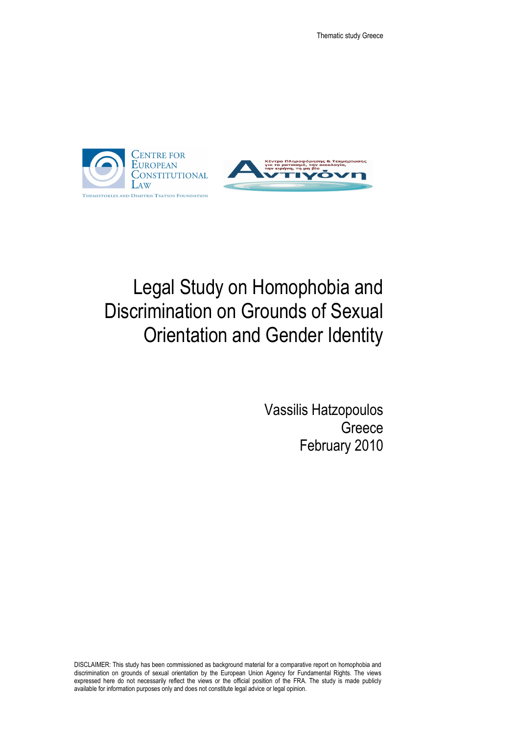



# Legal Study on Homophobia and Discrimination on Grounds of Sexual Orientation and Gender Identity

Vassilis Hatzopoulos **Greece** February 2010

DISCLAIMER: This study has been commissioned as background material for a comparative report on homophobia and discrimination on grounds of sexual orientation by the European Union Agency for Fundamental Rights. The views expressed here do not necessarily reflect the views or the official position of the FRA. The study is made publicly available for information purposes only and does not constitute legal advice or legal opinion.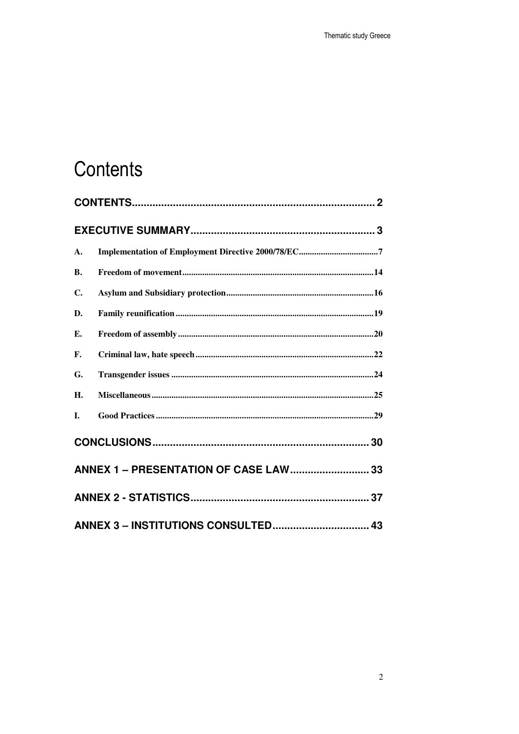# Contents

| A.             |                                       |  |
|----------------|---------------------------------------|--|
| <b>B.</b>      |                                       |  |
| $\mathbf{C}$ . |                                       |  |
| D.             |                                       |  |
| E.             |                                       |  |
| $\mathbf{F}$ . |                                       |  |
| G.             |                                       |  |
| H.             |                                       |  |
| I.             |                                       |  |
|                |                                       |  |
|                | ANNEX 1 - PRESENTATION OF CASE LAW 33 |  |
|                |                                       |  |
|                |                                       |  |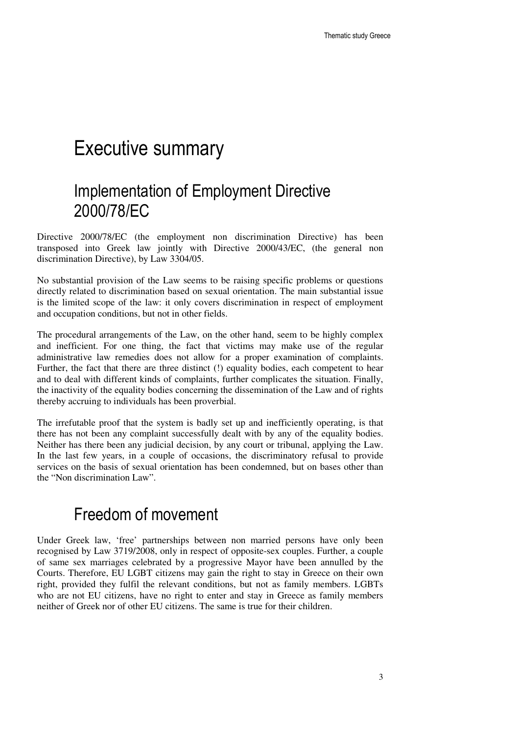## Executive summary

## Implementation of Employment Directive 2000/78/EC

Directive 2000/78/EC (the employment non discrimination Directive) has been transposed into Greek law jointly with Directive 2000/43/EC, (the general non discrimination Directive), by Law 3304/05.

No substantial provision of the Law seems to be raising specific problems or questions directly related to discrimination based on sexual orientation. The main substantial issue is the limited scope of the law: it only covers discrimination in respect of employment and occupation conditions, but not in other fields.

The procedural arrangements of the Law, on the other hand, seem to be highly complex and inefficient. For one thing, the fact that victims may make use of the regular administrative law remedies does not allow for a proper examination of complaints. Further, the fact that there are three distinct (!) equality bodies, each competent to hear and to deal with different kinds of complaints, further complicates the situation. Finally, the inactivity of the equality bodies concerning the dissemination of the Law and of rights thereby accruing to individuals has been proverbial.

The irrefutable proof that the system is badly set up and inefficiently operating, is that there has not been any complaint successfully dealt with by any of the equality bodies. Neither has there been any judicial decision, by any court or tribunal, applying the Law. In the last few years, in a couple of occasions, the discriminatory refusal to provide services on the basis of sexual orientation has been condemned, but on bases other than the "Non discrimination Law".

### Freedom of movement

Under Greek law, 'free' partnerships between non married persons have only been recognised by Law 3719/2008, only in respect of opposite-sex couples. Further, a couple of same sex marriages celebrated by a progressive Mayor have been annulled by the Courts. Therefore, EU LGBT citizens may gain the right to stay in Greece on their own right, provided they fulfil the relevant conditions, but not as family members. LGBTs who are not EU citizens, have no right to enter and stay in Greece as family members neither of Greek nor of other EU citizens. The same is true for their children.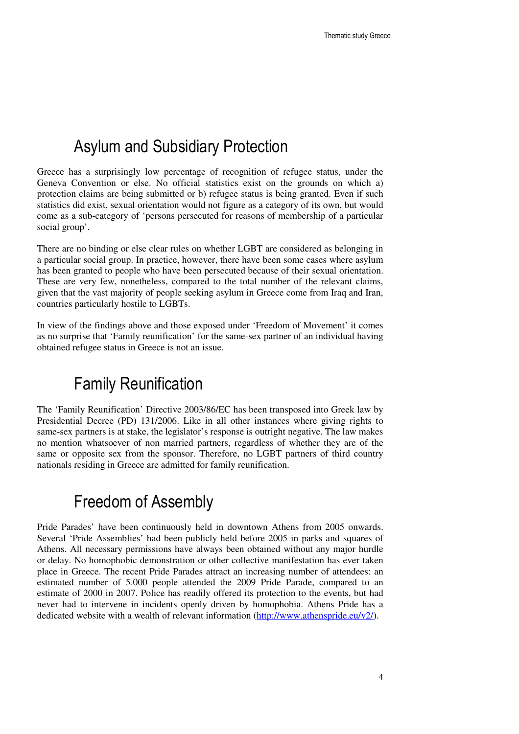### Asylum and Subsidiary Protection

Greece has a surprisingly low percentage of recognition of refugee status, under the Geneva Convention or else. No official statistics exist on the grounds on which a) protection claims are being submitted or b) refugee status is being granted. Even if such statistics did exist, sexual orientation would not figure as a category of its own, but would come as a sub-category of 'persons persecuted for reasons of membership of a particular social group'.

There are no binding or else clear rules on whether LGBT are considered as belonging in a particular social group. In practice, however, there have been some cases where asylum has been granted to people who have been persecuted because of their sexual orientation. These are very few, nonetheless, compared to the total number of the relevant claims, given that the vast majority of people seeking asylum in Greece come from Iraq and Iran, countries particularly hostile to LGBTs.

In view of the findings above and those exposed under 'Freedom of Movement' it comes as no surprise that 'Family reunification' for the same-sex partner of an individual having obtained refugee status in Greece is not an issue.

### Family Reunification

The 'Family Reunification' Directive 2003/86/EC has been transposed into Greek law by Presidential Decree (PD) 131/2006. Like in all other instances where giving rights to same-sex partners is at stake, the legislator's response is outright negative. The law makes no mention whatsoever of non married partners, regardless of whether they are of the same or opposite sex from the sponsor. Therefore, no LGBT partners of third country nationals residing in Greece are admitted for family reunification.

### Freedom of Assembly

Pride Parades' have been continuously held in downtown Athens from 2005 onwards. Several 'Pride Assemblies' had been publicly held before 2005 in parks and squares of Athens. All necessary permissions have always been obtained without any major hurdle or delay. No homophobic demonstration or other collective manifestation has ever taken place in Greece. The recent Pride Parades attract an increasing number of attendees: an estimated number of 5.000 people attended the 2009 Pride Parade, compared to an estimate of 2000 in 2007. Police has readily offered its protection to the events, but had never had to intervene in incidents openly driven by homophobia. Athens Pride has a dedicated website with a wealth of relevant information (http://www.athenspride.eu/v2/).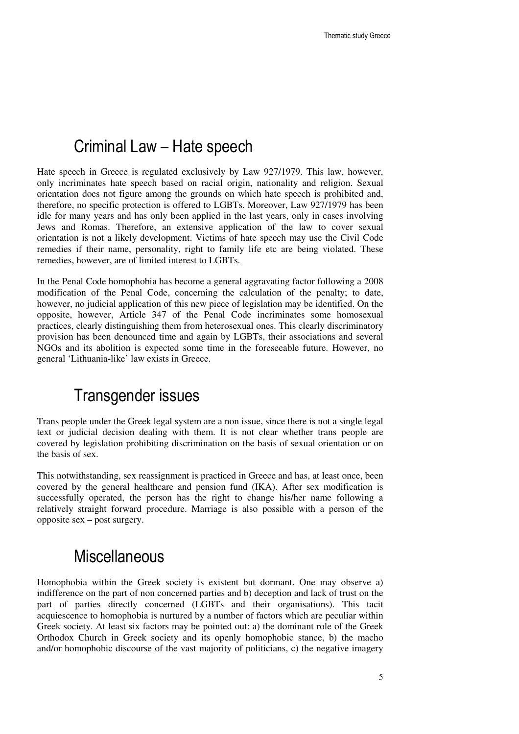#### Criminal Law – Hate speech

Hate speech in Greece is regulated exclusively by Law 927/1979. This law, however, only incriminates hate speech based on racial origin, nationality and religion. Sexual orientation does not figure among the grounds on which hate speech is prohibited and, therefore, no specific protection is offered to LGBTs. Moreover, Law 927/1979 has been idle for many years and has only been applied in the last years, only in cases involving Jews and Romas. Therefore, an extensive application of the law to cover sexual orientation is not a likely development. Victims of hate speech may use the Civil Code remedies if their name, personality, right to family life etc are being violated. These remedies, however, are of limited interest to LGBTs.

In the Penal Code homophobia has become a general aggravating factor following a 2008 modification of the Penal Code, concerning the calculation of the penalty; to date, however, no judicial application of this new piece of legislation may be identified. On the opposite, however, Article 347 of the Penal Code incriminates some homosexual practices, clearly distinguishing them from heterosexual ones. This clearly discriminatory provision has been denounced time and again by LGBTs, their associations and several NGOs and its abolition is expected some time in the foreseeable future. However, no general 'Lithuania-like' law exists in Greece.

### Transgender issues

Trans people under the Greek legal system are a non issue, since there is not a single legal text or judicial decision dealing with them. It is not clear whether trans people are covered by legislation prohibiting discrimination on the basis of sexual orientation or on the basis of sex.

This notwithstanding, sex reassignment is practiced in Greece and has, at least once, been covered by the general healthcare and pension fund (IKA). After sex modification is successfully operated, the person has the right to change his/her name following a relatively straight forward procedure. Marriage is also possible with a person of the opposite sex – post surgery.

#### **Miscellaneous**

Homophobia within the Greek society is existent but dormant. One may observe a) indifference on the part of non concerned parties and b) deception and lack of trust on the part of parties directly concerned (LGBTs and their organisations). This tacit acquiescence to homophobia is nurtured by a number of factors which are peculiar within Greek society. At least six factors may be pointed out: a) the dominant role of the Greek Orthodox Church in Greek society and its openly homophobic stance, b) the macho and/or homophobic discourse of the vast majority of politicians, c) the negative imagery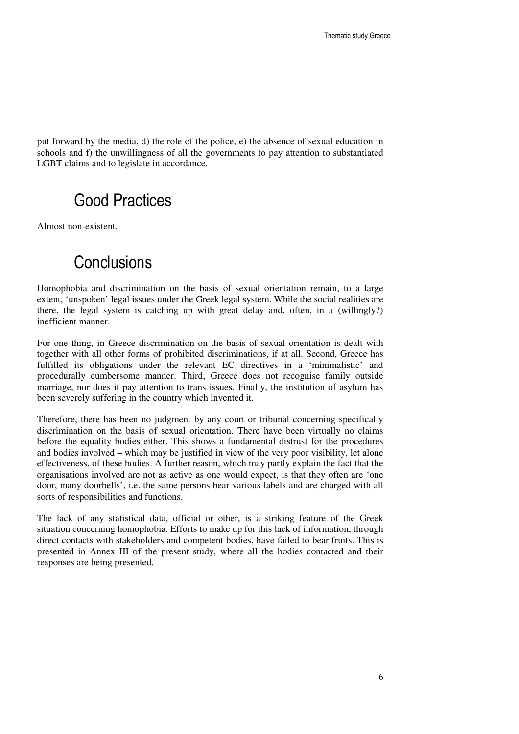put forward by the media, d) the role of the police, e) the absence of sexual education in schools and f) the unwillingness of all the governments to pay attention to substantiated LGBT claims and to legislate in accordance.

### Good Practices

Almost non-existent.

### **Conclusions**

Homophobia and discrimination on the basis of sexual orientation remain, to a large extent, 'unspoken' legal issues under the Greek legal system. While the social realities are there, the legal system is catching up with great delay and, often, in a (willingly?) inefficient manner.

For one thing, in Greece discrimination on the basis of sexual orientation is dealt with together with all other forms of prohibited discriminations, if at all. Second, Greece has fulfilled its obligations under the relevant EC directives in a 'minimalistic' and procedurally cumbersome manner. Third, Greece does not recognise family outside marriage, nor does it pay attention to trans issues. Finally, the institution of asylum has been severely suffering in the country which invented it.

Therefore, there has been no judgment by any court or tribunal concerning specifically discrimination on the basis of sexual orientation. There have been virtually no claims before the equality bodies either. This shows a fundamental distrust for the procedures and bodies involved – which may be justified in view of the very poor visibility, let alone effectiveness, of these bodies. A further reason, which may partly explain the fact that the organisations involved are not as active as one would expect, is that they often are 'one door, many doorbells', i.e. the same persons bear various labels and are charged with all sorts of responsibilities and functions.

The lack of any statistical data, official or other, is a striking feature of the Greek situation concerning homophobia. Efforts to make up for this lack of information, through direct contacts with stakeholders and competent bodies, have failed to bear fruits. This is presented in Annex III of the present study, where all the bodies contacted and their responses are being presented.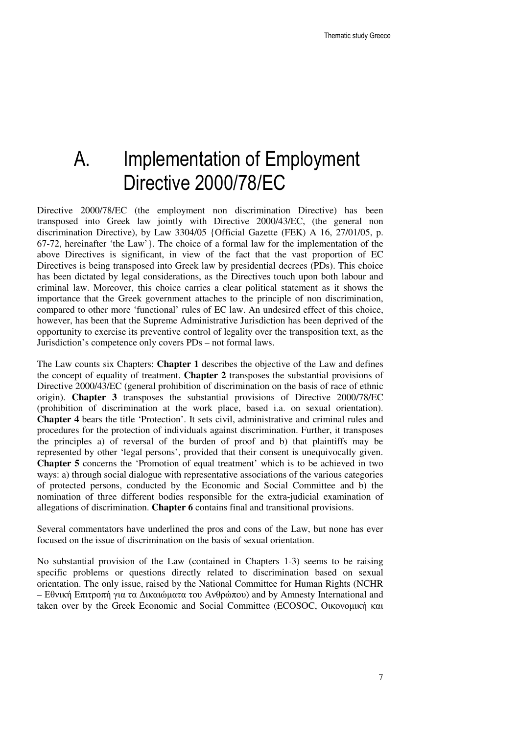## A. Implementation of Employment Directive 2000/78/EC

Directive 2000/78/EC (the employment non discrimination Directive) has been transposed into Greek law jointly with Directive 2000/43/EC, (the general non discrimination Directive), by Law 3304/05 {Official Gazette (FEK) A 16, 27/01/05, p. 67-72, hereinafter 'the Law'}. The choice of a formal law for the implementation of the above Directives is significant, in view of the fact that the vast proportion of EC Directives is being transposed into Greek law by presidential decrees (PDs). This choice has been dictated by legal considerations, as the Directives touch upon both labour and criminal law. Moreover, this choice carries a clear political statement as it shows the importance that the Greek government attaches to the principle of non discrimination, compared to other more 'functional' rules of EC law. An undesired effect of this choice, however, has been that the Supreme Administrative Jurisdiction has been deprived of the opportunity to exercise its preventive control of legality over the transposition text, as the Jurisdiction's competence only covers PDs – not formal laws.

The Law counts six Chapters: **Chapter 1** describes the objective of the Law and defines the concept of equality of treatment. **Chapter 2** transposes the substantial provisions of Directive 2000/43/EC (general prohibition of discrimination on the basis of race of ethnic origin). **Chapter 3** transposes the substantial provisions of Directive 2000/78/EC (prohibition of discrimination at the work place, based i.a. on sexual orientation). **Chapter 4** bears the title 'Protection'. It sets civil, administrative and criminal rules and procedures for the protection of individuals against discrimination. Further, it transposes the principles a) of reversal of the burden of proof and b) that plaintiffs may be represented by other 'legal persons', provided that their consent is unequivocally given. **Chapter 5** concerns the 'Promotion of equal treatment' which is to be achieved in two ways: a) through social dialogue with representative associations of the various categories of protected persons, conducted by the Economic and Social Committee and b) the nomination of three different bodies responsible for the extra-judicial examination of allegations of discrimination. **Chapter 6** contains final and transitional provisions.

Several commentators have underlined the pros and cons of the Law, but none has ever focused on the issue of discrimination on the basis of sexual orientation.

No substantial provision of the Law (contained in Chapters 1-3) seems to be raising specific problems or questions directly related to discrimination based on sexual orientation. The only issue, raised by the National Committee for Human Rights (NCHR – Εθνική Επιτροπή για τα ∆ικαιώµατα του Ανθρώπου) and by Amnesty International and taken over by the Greek Economic and Social Committee (ECOSOC, Οικονομική και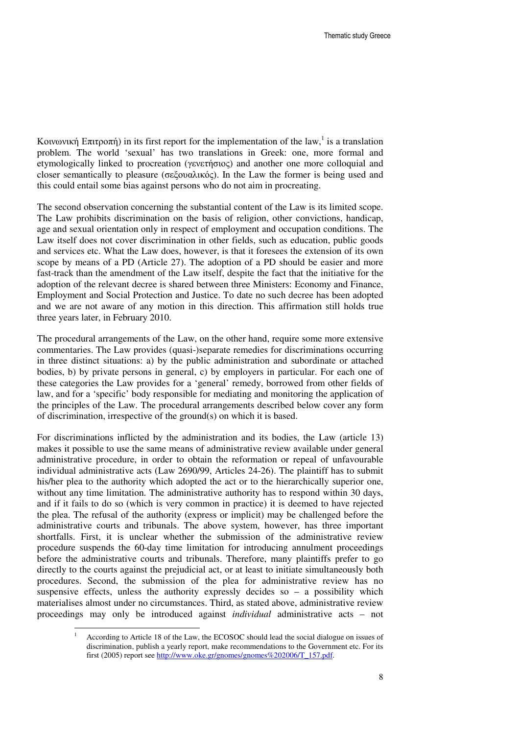Kοινωνική Επιτροπή) in its first report for the implementation of the law,<sup>1</sup> is a translation problem. The world 'sexual' has two translations in Greek: one, more formal and etymologically linked to procreation (γενετήσιος) and another one more colloquial and closer semantically to pleasure (σεξουαλικός). In the Law the former is being used and this could entail some bias against persons who do not aim in procreating.

The second observation concerning the substantial content of the Law is its limited scope. The Law prohibits discrimination on the basis of religion, other convictions, handicap, age and sexual orientation only in respect of employment and occupation conditions. The Law itself does not cover discrimination in other fields, such as education, public goods and services etc. What the Law does, however, is that it foresees the extension of its own scope by means of a PD (Article 27). The adoption of a PD should be easier and more fast-track than the amendment of the Law itself, despite the fact that the initiative for the adoption of the relevant decree is shared between three Ministers: Economy and Finance, Employment and Social Protection and Justice. To date no such decree has been adopted and we are not aware of any motion in this direction. This affirmation still holds true three years later, in February 2010.

The procedural arrangements of the Law, on the other hand, require some more extensive commentaries. The Law provides (quasi-)separate remedies for discriminations occurring in three distinct situations: a) by the public administration and subordinate or attached bodies, b) by private persons in general, c) by employers in particular. For each one of these categories the Law provides for a 'general' remedy, borrowed from other fields of law, and for a 'specific' body responsible for mediating and monitoring the application of the principles of the Law. The procedural arrangements described below cover any form of discrimination, irrespective of the ground(s) on which it is based.

For discriminations inflicted by the administration and its bodies, the Law (article 13) makes it possible to use the same means of administrative review available under general administrative procedure, in order to obtain the reformation or repeal of unfavourable individual administrative acts (Law 2690/99, Articles 24-26). The plaintiff has to submit his/her plea to the authority which adopted the act or to the hierarchically superior one, without any time limitation. The administrative authority has to respond within 30 days, and if it fails to do so (which is very common in practice) it is deemed to have rejected the plea. The refusal of the authority (express or implicit) may be challenged before the administrative courts and tribunals. The above system, however, has three important shortfalls. First, it is unclear whether the submission of the administrative review procedure suspends the 60-day time limitation for introducing annulment proceedings before the administrative courts and tribunals. Therefore, many plaintiffs prefer to go directly to the courts against the prejudicial act, or at least to initiate simultaneously both procedures. Second, the submission of the plea for administrative review has no suspensive effects, unless the authority expressly decides so  $-$  a possibility which materialises almost under no circumstances. Third, as stated above, administrative review proceedings may only be introduced against *individual* administrative acts – not

 $\overline{a}$ 

<sup>1</sup> According to Article 18 of the Law, the ECOSOC should lead the social dialogue on issues of discrimination, publish a yearly report, make recommendations to the Government etc. For its first (2005) report see http://www.oke.gr/gnomes/gnomes%202006/T\_157.pdf.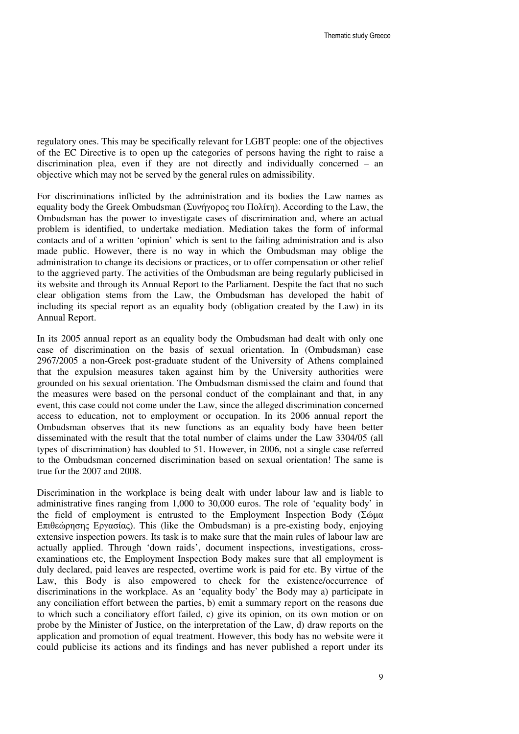regulatory ones. This may be specifically relevant for LGBT people: one of the objectives of the EC Directive is to open up the categories of persons having the right to raise a discrimination plea, even if they are not directly and individually concerned – an objective which may not be served by the general rules on admissibility.

For discriminations inflicted by the administration and its bodies the Law names as equality body the Greek Ombudsman (Συνήγορος του Πολίτη). According to the Law, the Ombudsman has the power to investigate cases of discrimination and, where an actual problem is identified, to undertake mediation. Mediation takes the form of informal contacts and of a written 'opinion' which is sent to the failing administration and is also made public. However, there is no way in which the Ombudsman may oblige the administration to change its decisions or practices, or to offer compensation or other relief to the aggrieved party. The activities of the Ombudsman are being regularly publicised in its website and through its Annual Report to the Parliament. Despite the fact that no such clear obligation stems from the Law, the Ombudsman has developed the habit of including its special report as an equality body (obligation created by the Law) in its Annual Report.

In its 2005 annual report as an equality body the Ombudsman had dealt with only one case of discrimination on the basis of sexual orientation. In (Ombudsman) case 2967/2005 a non-Greek post-graduate student of the University of Athens complained that the expulsion measures taken against him by the University authorities were grounded on his sexual orientation. The Ombudsman dismissed the claim and found that the measures were based on the personal conduct of the complainant and that, in any event, this case could not come under the Law, since the alleged discrimination concerned access to education, not to employment or occupation. In its 2006 annual report the Ombudsman observes that its new functions as an equality body have been better disseminated with the result that the total number of claims under the Law 3304/05 (all types of discrimination) has doubled to 51. However, in 2006, not a single case referred to the Ombudsman concerned discrimination based on sexual orientation! The same is true for the 2007 and 2008.

Discrimination in the workplace is being dealt with under labour law and is liable to administrative fines ranging from 1,000 to 30,000 euros. The role of 'equality body' in the field of employment is entrusted to the Employment Inspection Body (Σώμα Επιθεώρησης Εργασίας). This (like the Ombudsman) is a pre-existing body, enjoying extensive inspection powers. Its task is to make sure that the main rules of labour law are actually applied. Through 'down raids', document inspections, investigations, crossexaminations etc, the Employment Inspection Body makes sure that all employment is duly declared, paid leaves are respected, overtime work is paid for etc. By virtue of the Law, this Body is also empowered to check for the existence/occurrence of discriminations in the workplace. As an 'equality body' the Body may a) participate in any conciliation effort between the parties, b) emit a summary report on the reasons due to which such a conciliatory effort failed, c) give its opinion, on its own motion or on probe by the Minister of Justice, on the interpretation of the Law, d) draw reports on the application and promotion of equal treatment. However, this body has no website were it could publicise its actions and its findings and has never published a report under its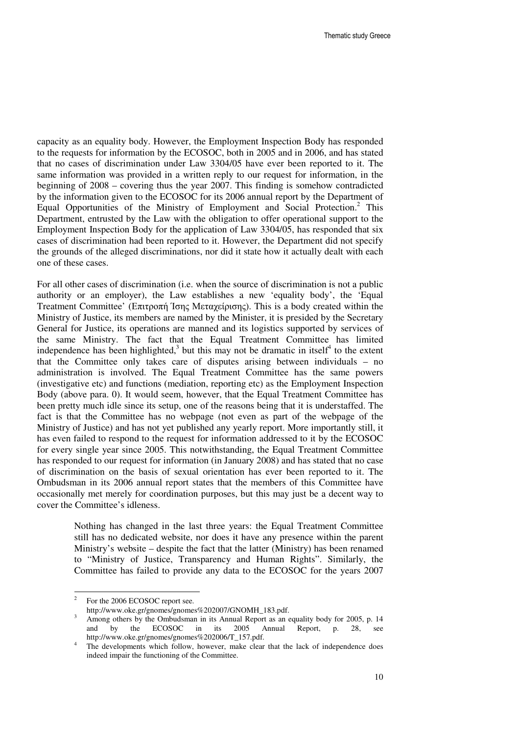capacity as an equality body. However, the Employment Inspection Body has responded to the requests for information by the ECOSOC, both in 2005 and in 2006, and has stated that no cases of discrimination under Law 3304/05 have ever been reported to it. The same information was provided in a written reply to our request for information, in the beginning of 2008 – covering thus the year 2007. This finding is somehow contradicted by the information given to the ECOSOC for its 2006 annual report by the Department of Equal Opportunities of the Ministry of Employment and Social Protection.<sup>2</sup> This Department, entrusted by the Law with the obligation to offer operational support to the Employment Inspection Body for the application of Law 3304/05, has responded that six cases of discrimination had been reported to it. However, the Department did not specify the grounds of the alleged discriminations, nor did it state how it actually dealt with each one of these cases.

For all other cases of discrimination (i.e. when the source of discrimination is not a public authority or an employer), the Law establishes a new 'equality body', the 'Equal Treatment Committee' (Επιτροπή Ίσης Μεταχείρισης). This is a body created within the Ministry of Justice, its members are named by the Minister, it is presided by the Secretary General for Justice, its operations are manned and its logistics supported by services of the same Ministry. The fact that the Equal Treatment Committee has limited independence has been highlighted,<sup>3</sup> but this may not be dramatic in itself<sup>4</sup> to the extent that the Committee only takes care of disputes arising between individuals – no administration is involved. The Equal Treatment Committee has the same powers (investigative etc) and functions (mediation, reporting etc) as the Employment Inspection Body (above para. 0). It would seem, however, that the Equal Treatment Committee has been pretty much idle since its setup, one of the reasons being that it is understaffed. The fact is that the Committee has no webpage (not even as part of the webpage of the Ministry of Justice) and has not yet published any yearly report. More importantly still, it has even failed to respond to the request for information addressed to it by the ECOSOC for every single year since 2005. This notwithstanding, the Equal Treatment Committee has responded to our request for information (in January 2008) and has stated that no case of discrimination on the basis of sexual orientation has ever been reported to it. The Ombudsman in its 2006 annual report states that the members of this Committee have occasionally met merely for coordination purposes, but this may just be a decent way to cover the Committee's idleness.

> Nothing has changed in the last three years: the Equal Treatment Committee still has no dedicated website, nor does it have any presence within the parent Ministry's website – despite the fact that the latter (Ministry) has been renamed to "Ministry of Justice, Transparency and Human Rights". Similarly, the Committee has failed to provide any data to the ECOSOC for the years 2007

 $\frac{1}{2}$ For the 2006 ECOSOC report see.

http://www.oke.gr/gnomes/gnomes%202007/GNOMH\_183.pdf.

<sup>3</sup> Among others by the Ombudsman in its Annual Report as an equality body for 2005, p. 14 and by the ECOSOC in its 2005 Annual Report, p. 28, see http://www.oke.gr/gnomes/gnomes%202006/T\_157.pdf.

<sup>4</sup> The developments which follow, however, make clear that the lack of independence does indeed impair the functioning of the Committee.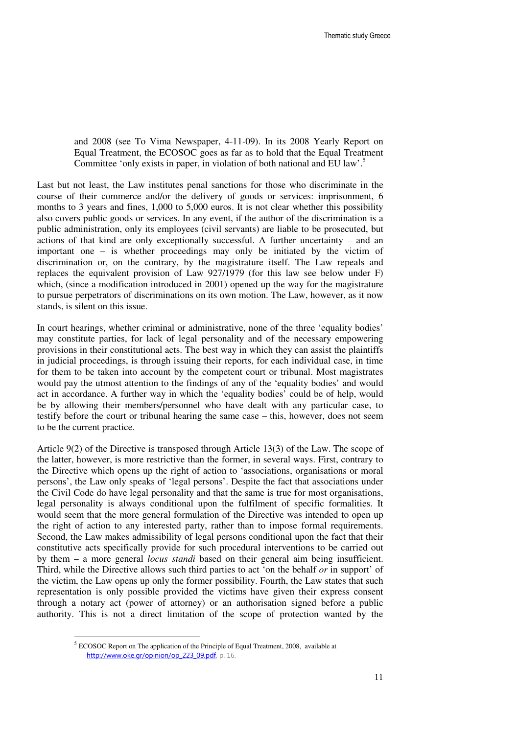and 2008 (see To Vima Newspaper, 4-11-09). In its 2008 Yearly Report on Equal Treatment, the ECOSOC goes as far as to hold that the Equal Treatment Committee 'only exists in paper, in violation of both national and EU law'.<sup>5</sup>

Last but not least, the Law institutes penal sanctions for those who discriminate in the course of their commerce and/or the delivery of goods or services: imprisonment, 6 months to 3 years and fines, 1,000 to 5,000 euros. It is not clear whether this possibility also covers public goods or services. In any event, if the author of the discrimination is a public administration, only its employees (civil servants) are liable to be prosecuted, but actions of that kind are only exceptionally successful. A further uncertainty – and an important one – is whether proceedings may only be initiated by the victim of discrimination or, on the contrary, by the magistrature itself. The Law repeals and replaces the equivalent provision of Law 927/1979 (for this law see below under F) which, (since a modification introduced in 2001) opened up the way for the magistrature to pursue perpetrators of discriminations on its own motion. The Law, however, as it now stands, is silent on this issue.

In court hearings, whether criminal or administrative, none of the three 'equality bodies' may constitute parties, for lack of legal personality and of the necessary empowering provisions in their constitutional acts. The best way in which they can assist the plaintiffs in judicial proceedings, is through issuing their reports, for each individual case, in time for them to be taken into account by the competent court or tribunal. Most magistrates would pay the utmost attention to the findings of any of the 'equality bodies' and would act in accordance. A further way in which the 'equality bodies' could be of help, would be by allowing their members/personnel who have dealt with any particular case, to testify before the court or tribunal hearing the same case – this, however, does not seem to be the current practice.

Article 9(2) of the Directive is transposed through Article 13(3) of the Law. The scope of the latter, however, is more restrictive than the former, in several ways. First, contrary to the Directive which opens up the right of action to 'associations, organisations or moral persons', the Law only speaks of 'legal persons'. Despite the fact that associations under the Civil Code do have legal personality and that the same is true for most organisations, legal personality is always conditional upon the fulfilment of specific formalities. It would seem that the more general formulation of the Directive was intended to open up the right of action to any interested party, rather than to impose formal requirements. Second, the Law makes admissibility of legal persons conditional upon the fact that their constitutive acts specifically provide for such procedural interventions to be carried out by them – a more general *locus standi* based on their general aim being insufficient. Third, while the Directive allows such third parties to act 'on the behalf *or* in support' of the victim, the Law opens up only the former possibility. Fourth, the Law states that such representation is only possible provided the victims have given their express consent through a notary act (power of attorney) or an authorisation signed before a public authority. This is not a direct limitation of the scope of protection wanted by the

 5 ECOSOC Report on The application of the Principle of Equal Treatment, 2008, available at http://www.oke.gr/opinion/op\_223\_09.pdf, p. 16.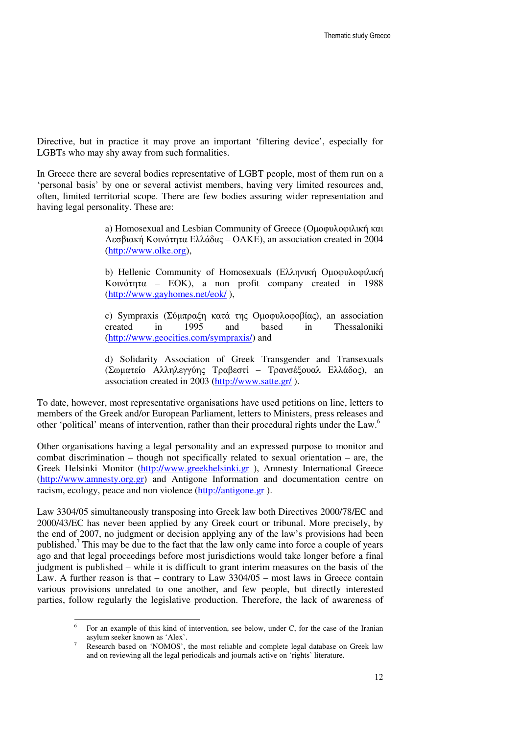Directive, but in practice it may prove an important 'filtering device', especially for LGBTs who may shy away from such formalities.

In Greece there are several bodies representative of LGBT people, most of them run on a 'personal basis' by one or several activist members, having very limited resources and, often, limited territorial scope. There are few bodies assuring wider representation and having legal personality. These are:

> a) Homosexual and Lesbian Community of Greece (Οµοφυλοφιλική και Λεσβιακή Κοινότητα Ελλάδας – ΟΛΚΕ), an association created in 2004 (http://www.olke.org),

> b) Hellenic Community of Homosexuals (Ελληνική Οµοφυλοφιλική Κοινότητα – ΕΟΚ), a non profit company created in 1988 (http://www.gayhomes.net/eok/ ),

> c) Sympraxis (Σύµπραξη κατά της Οµοφυλοφοβίας), an association created in 1995 and based in Thessaloniki (http://www.geocities.com/sympraxis/) and

> d) Solidarity Association of Greek Transgender and Transexuals (Σωµατείο Αλληλεγγύης Τραβεστί – Τρανσέξουαλ Ελλάδος), an association created in 2003 (http://www.satte.gr/ ).

To date, however, most representative organisations have used petitions on line, letters to members of the Greek and/or European Parliament, letters to Ministers, press releases and other 'political' means of intervention, rather than their procedural rights under the Law.<sup>6</sup>

Other organisations having a legal personality and an expressed purpose to monitor and combat discrimination – though not specifically related to sexual orientation – are, the Greek Helsinki Monitor (http://www.greekhelsinki.gr ), Amnesty International Greece (http://www.amnesty.org.gr) and Antigone Information and documentation centre on racism, ecology, peace and non violence (http://antigone.gr ).

Law 3304/05 simultaneously transposing into Greek law both Directives 2000/78/EC and 2000/43/EC has never been applied by any Greek court or tribunal. More precisely, by the end of 2007, no judgment or decision applying any of the law's provisions had been published.<sup>7</sup> This may be due to the fact that the law only came into force a couple of years ago and that legal proceedings before most jurisdictions would take longer before a final judgment is published – while it is difficult to grant interim measures on the basis of the Law. A further reason is that – contrary to Law 3304/05 – most laws in Greece contain various provisions unrelated to one another, and few people, but directly interested parties, follow regularly the legislative production. Therefore, the lack of awareness of

-

<sup>6</sup> For an example of this kind of intervention, see below, under C, for the case of the Iranian asylum seeker known as 'Alex'.

<sup>7</sup> Research based on 'NOMOS', the most reliable and complete legal database on Greek law and on reviewing all the legal periodicals and journals active on 'rights' literature.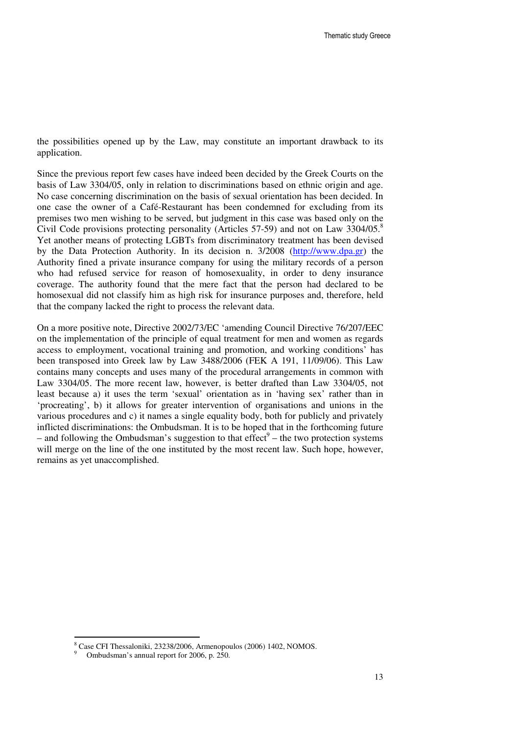the possibilities opened up by the Law, may constitute an important drawback to its application.

Since the previous report few cases have indeed been decided by the Greek Courts on the basis of Law 3304/05, only in relation to discriminations based on ethnic origin and age. No case concerning discrimination on the basis of sexual orientation has been decided. In one case the owner of a Café-Restaurant has been condemned for excluding from its premises two men wishing to be served, but judgment in this case was based only on the Civil Code provisions protecting personality (Articles 57-59) and not on Law  $3304/05$ .<sup>8</sup> Yet another means of protecting LGBTs from discriminatory treatment has been devised by the Data Protection Authority. In its decision n. 3/2008 (http://www.dpa.gr) the Authority fined a private insurance company for using the military records of a person who had refused service for reason of homosexuality, in order to deny insurance coverage. The authority found that the mere fact that the person had declared to be homosexual did not classify him as high risk for insurance purposes and, therefore, held that the company lacked the right to process the relevant data.

On a more positive note, Directive 2002/73/EC 'amending Council Directive 76/207/EEC on the implementation of the principle of equal treatment for men and women as regards access to employment, vocational training and promotion, and working conditions' has been transposed into Greek law by Law 3488/2006 (FEK A 191, 11/09/06). This Law contains many concepts and uses many of the procedural arrangements in common with Law 3304/05. The more recent law, however, is better drafted than Law 3304/05, not least because a) it uses the term 'sexual' orientation as in 'having sex' rather than in 'procreating', b) it allows for greater intervention of organisations and unions in the various procedures and c) it names a single equality body, both for publicly and privately inflicted discriminations: the Ombudsman. It is to be hoped that in the forthcoming future – and following the Ombudsman's suggestion to that  $effect^9$  – the two protection systems will merge on the line of the one instituted by the most recent law. Such hope, however, remains as yet unaccomplished.

 $\overline{a}$ 

<sup>8</sup> Case CFI Thessaloniki, 23238/2006, Armenopoulos (2006) 1402, NOMOS.

<sup>9</sup> Ombudsman's annual report for 2006, p. 250.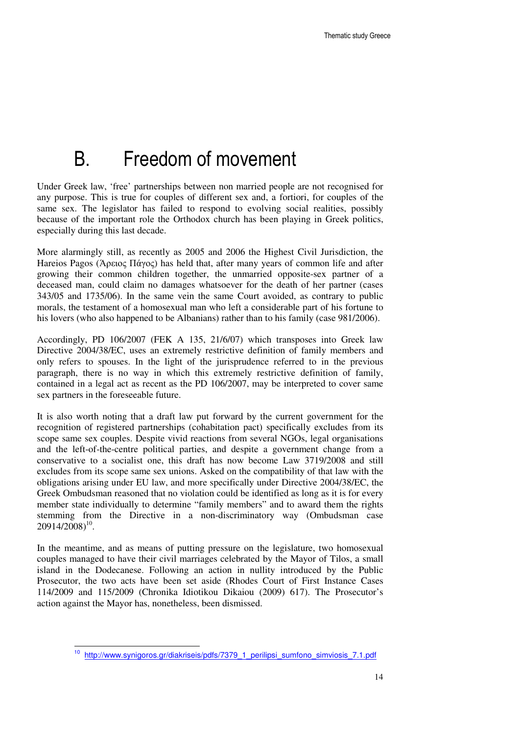## B. Freedom of movement

Under Greek law, 'free' partnerships between non married people are not recognised for any purpose. This is true for couples of different sex and, a fortiori, for couples of the same sex. The legislator has failed to respond to evolving social realities, possibly because of the important role the Orthodox church has been playing in Greek politics, especially during this last decade.

More alarmingly still, as recently as 2005 and 2006 the Highest Civil Jurisdiction, the Hareios Pagos (Άρειος Πάγος) has held that, after many years of common life and after growing their common children together, the unmarried opposite-sex partner of a deceased man, could claim no damages whatsoever for the death of her partner (cases 343/05 and 1735/06). In the same vein the same Court avoided, as contrary to public morals, the testament of a homosexual man who left a considerable part of his fortune to his lovers (who also happened to be Albanians) rather than to his family (case 981/2006).

Accordingly, PD 106/2007 (FEK A 135, 21/6/07) which transposes into Greek law Directive 2004/38/EC, uses an extremely restrictive definition of family members and only refers to spouses. In the light of the jurisprudence referred to in the previous paragraph, there is no way in which this extremely restrictive definition of family, contained in a legal act as recent as the PD 106/2007, may be interpreted to cover same sex partners in the foreseeable future.

It is also worth noting that a draft law put forward by the current government for the recognition of registered partnerships (cohabitation pact) specifically excludes from its scope same sex couples. Despite vivid reactions from several NGOs, legal organisations and the left-of-the-centre political parties, and despite a government change from a conservative to a socialist one, this draft has now become Law 3719/2008 and still excludes from its scope same sex unions. Asked on the compatibility of that law with the obligations arising under EU law, and more specifically under Directive 2004/38/EC, the Greek Ombudsman reasoned that no violation could be identified as long as it is for every member state individually to determine "family members" and to award them the rights stemming from the Directive in a non-discriminatory way (Ombudsman case  $20914/2008)^{10}$ .

In the meantime, and as means of putting pressure on the legislature, two homosexual couples managed to have their civil marriages celebrated by the Mayor of Tilos, a small island in the Dodecanese. Following an action in nullity introduced by the Public Prosecutor, the two acts have been set aside (Rhodes Court of First Instance Cases 114/2009 and 115/2009 (Chronika Idiotikou Dikaiou (2009) 617). The Prosecutor's action against the Mayor has, nonetheless, been dismissed.

 $\overline{\phantom{a}}$ 

http://www.synigoros.gr/diakriseis/pdfs/7379\_1\_perilipsi\_sumfono\_simviosis\_7.1.pdf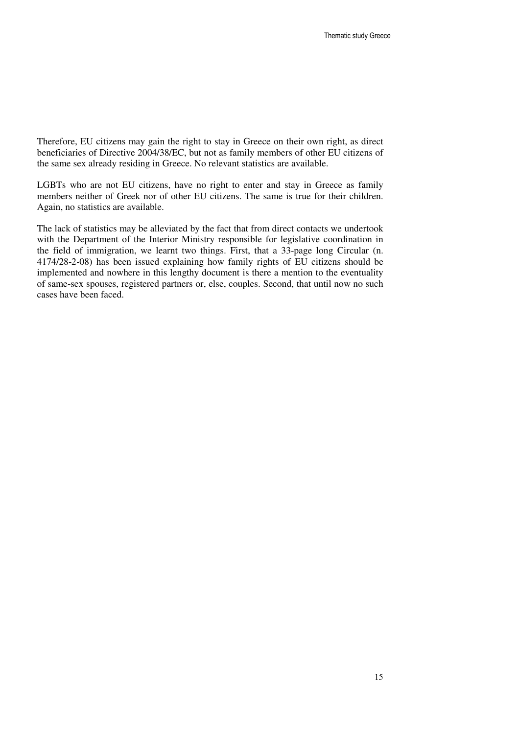Therefore, EU citizens may gain the right to stay in Greece on their own right, as direct beneficiaries of Directive 2004/38/EC, but not as family members of other EU citizens of the same sex already residing in Greece. No relevant statistics are available.

LGBTs who are not EU citizens, have no right to enter and stay in Greece as family members neither of Greek nor of other EU citizens. The same is true for their children. Again, no statistics are available.

The lack of statistics may be alleviated by the fact that from direct contacts we undertook with the Department of the Interior Ministry responsible for legislative coordination in the field of immigration, we learnt two things. First, that a 33-page long Circular (n. 4174/28-2-08) has been issued explaining how family rights of EU citizens should be implemented and nowhere in this lengthy document is there a mention to the eventuality of same-sex spouses, registered partners or, else, couples. Second, that until now no such cases have been faced.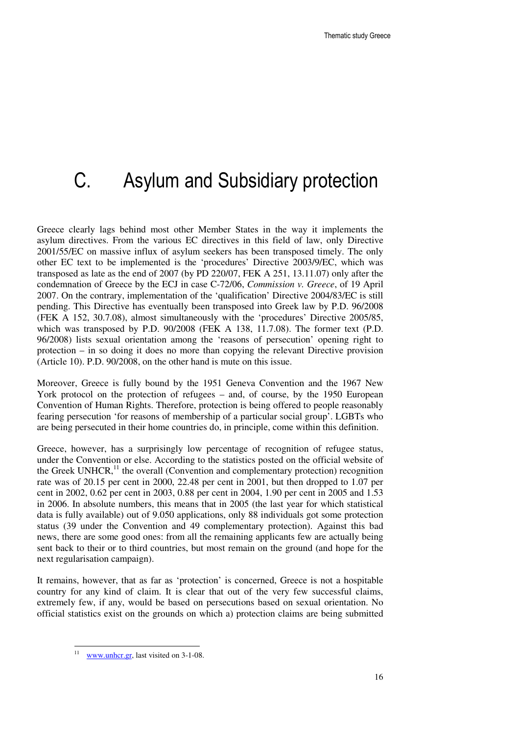# C. Asylum and Subsidiary protection

Greece clearly lags behind most other Member States in the way it implements the asylum directives. From the various EC directives in this field of law, only Directive 2001/55/EC on massive influx of asylum seekers has been transposed timely. The only other EC text to be implemented is the 'procedures' Directive 2003/9/EC, which was transposed as late as the end of 2007 (by PD 220/07, FEK A 251, 13.11.07) only after the condemnation of Greece by the ECJ in case C-72/06, *Commission v. Greece*, of 19 April 2007. On the contrary, implementation of the 'qualification' Directive 2004/83/EC is still pending. This Directive has eventually been transposed into Greek law by P.D. 96/2008 (FEK A 152, 30.7.08), almost simultaneously with the 'procedures' Directive 2005/85, which was transposed by P.D. 90/2008 (FEK A 138, 11.7.08). The former text (P.D. 96/2008) lists sexual orientation among the 'reasons of persecution' opening right to protection – in so doing it does no more than copying the relevant Directive provision (Article 10). P.D. 90/2008, on the other hand is mute on this issue.

Moreover, Greece is fully bound by the 1951 Geneva Convention and the 1967 New York protocol on the protection of refugees – and, of course, by the 1950 European Convention of Human Rights. Therefore, protection is being offered to people reasonably fearing persecution 'for reasons of membership of a particular social group'. LGBTs who are being persecuted in their home countries do, in principle, come within this definition.

Greece, however, has a surprisingly low percentage of recognition of refugee status, under the Convention or else. According to the statistics posted on the official website of the Greek UNHCR, $<sup>11</sup>$  the overall (Convention and complementary protection) recognition</sup> rate was of 20.15 per cent in 2000, 22.48 per cent in 2001, but then dropped to 1.07 per cent in 2002, 0.62 per cent in 2003, 0.88 per cent in 2004, 1.90 per cent in 2005 and 1.53 in 2006. In absolute numbers, this means that in 2005 (the last year for which statistical data is fully available) out of 9.050 applications, only 88 individuals got some protection status (39 under the Convention and 49 complementary protection). Against this bad news, there are some good ones: from all the remaining applicants few are actually being sent back to their or to third countries, but most remain on the ground (and hope for the next regularisation campaign).

It remains, however, that as far as 'protection' is concerned, Greece is not a hospitable country for any kind of claim. It is clear that out of the very few successful claims, extremely few, if any, would be based on persecutions based on sexual orientation. No official statistics exist on the grounds on which a) protection claims are being submitted

 $\frac{1}{11}$ www.unhcr.gr, last visited on 3-1-08.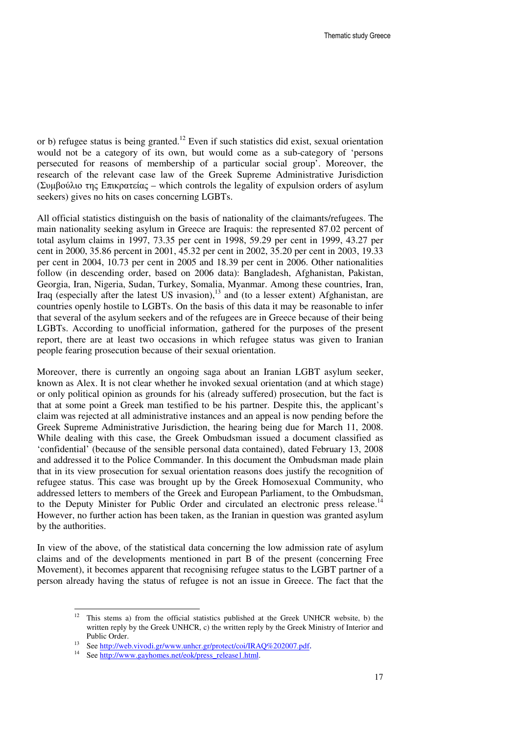or b) refugee status is being granted.<sup>12</sup> Even if such statistics did exist, sexual orientation would not be a category of its own, but would come as a sub-category of 'persons persecuted for reasons of membership of a particular social group'. Moreover, the research of the relevant case law of the Greek Supreme Administrative Jurisdiction (Συµβούλιο της Επικρατείας – which controls the legality of expulsion orders of asylum seekers) gives no hits on cases concerning LGBTs.

All official statistics distinguish on the basis of nationality of the claimants/refugees. The main nationality seeking asylum in Greece are Iraquis: the represented 87.02 percent of total asylum claims in 1997, 73.35 per cent in 1998, 59.29 per cent in 1999, 43.27 per cent in 2000, 35.86 percent in 2001, 45.32 per cent in 2002, 35.20 per cent in 2003, 19.33 per cent in 2004, 10.73 per cent in 2005 and 18.39 per cent in 2006. Other nationalities follow (in descending order, based on 2006 data): Bangladesh, Afghanistan, Pakistan, Georgia, Iran, Nigeria, Sudan, Turkey, Somalia, Myanmar. Among these countries, Iran, Iraq (especially after the latest US invasion), $13$  and (to a lesser extent) Afghanistan, are countries openly hostile to LGBTs. On the basis of this data it may be reasonable to infer that several of the asylum seekers and of the refugees are in Greece because of their being LGBTs. According to unofficial information, gathered for the purposes of the present report, there are at least two occasions in which refugee status was given to Iranian people fearing prosecution because of their sexual orientation.

Moreover, there is currently an ongoing saga about an Iranian LGBT asylum seeker, known as Alex. It is not clear whether he invoked sexual orientation (and at which stage) or only political opinion as grounds for his (already suffered) prosecution, but the fact is that at some point a Greek man testified to be his partner. Despite this, the applicant's claim was rejected at all administrative instances and an appeal is now pending before the Greek Supreme Administrative Jurisdiction, the hearing being due for March 11, 2008. While dealing with this case, the Greek Ombudsman issued a document classified as 'confidential' (because of the sensible personal data contained), dated February 13, 2008 and addressed it to the Police Commander. In this document the Ombudsman made plain that in its view prosecution for sexual orientation reasons does justify the recognition of refugee status. This case was brought up by the Greek Homosexual Community, who addressed letters to members of the Greek and European Parliament, to the Ombudsman, to the Deputy Minister for Public Order and circulated an electronic press release.<sup>14</sup> However, no further action has been taken, as the Iranian in question was granted asylum by the authorities.

In view of the above, of the statistical data concerning the low admission rate of asylum claims and of the developments mentioned in part B of the present (concerning Free Movement), it becomes apparent that recognising refugee status to the LGBT partner of a person already having the status of refugee is not an issue in Greece. The fact that the

 $12$ This stems a) from the official statistics published at the Greek UNHCR website, b) the written reply by the Greek UNHCR, c) the written reply by the Greek Ministry of Interior and Public Order.

See http://web.vivodi.gr/www.unhcr.gr/protect/coi/IRAQ%202007.pdf.

See http://www.gayhomes.net/eok/press\_release1.html.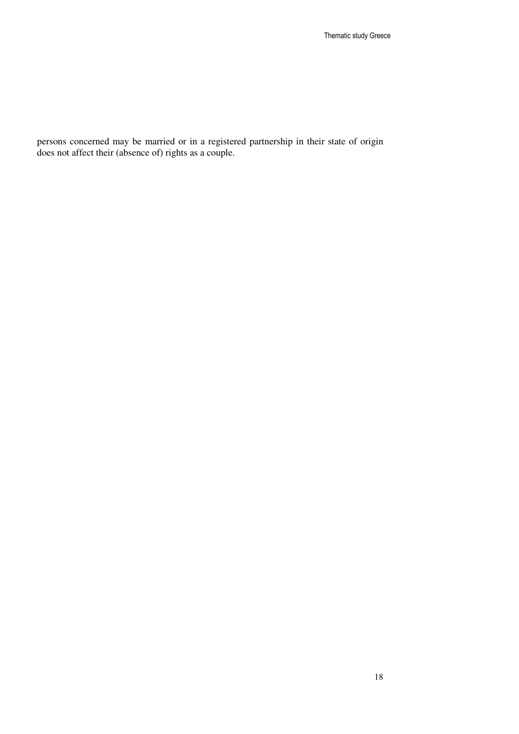persons concerned may be married or in a registered partnership in their state of origin does not affect their (absence of) rights as a couple.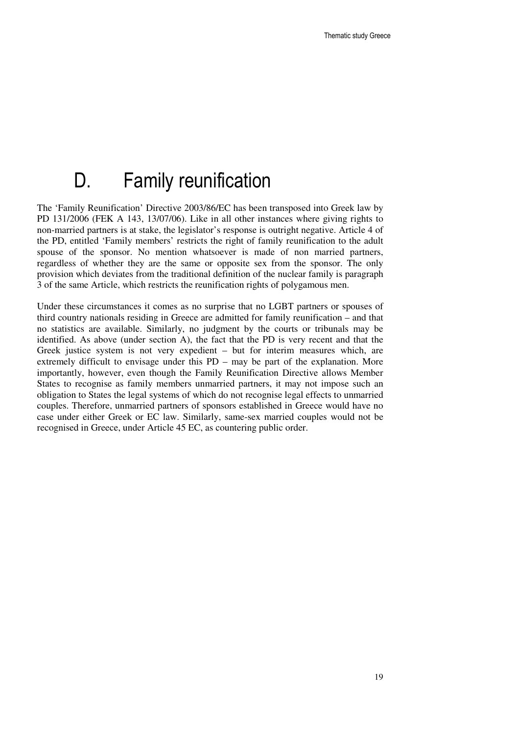## D. Family reunification

The 'Family Reunification' Directive 2003/86/EC has been transposed into Greek law by PD 131/2006 (FEK A 143, 13/07/06). Like in all other instances where giving rights to non-married partners is at stake, the legislator's response is outright negative. Article 4 of the PD, entitled 'Family members' restricts the right of family reunification to the adult spouse of the sponsor. No mention whatsoever is made of non married partners, regardless of whether they are the same or opposite sex from the sponsor. The only provision which deviates from the traditional definition of the nuclear family is paragraph 3 of the same Article, which restricts the reunification rights of polygamous men.

Under these circumstances it comes as no surprise that no LGBT partners or spouses of third country nationals residing in Greece are admitted for family reunification – and that no statistics are available. Similarly, no judgment by the courts or tribunals may be identified. As above (under section A), the fact that the PD is very recent and that the Greek justice system is not very expedient – but for interim measures which, are extremely difficult to envisage under this PD – may be part of the explanation. More importantly, however, even though the Family Reunification Directive allows Member States to recognise as family members unmarried partners, it may not impose such an obligation to States the legal systems of which do not recognise legal effects to unmarried couples. Therefore, unmarried partners of sponsors established in Greece would have no case under either Greek or EC law. Similarly, same-sex married couples would not be recognised in Greece, under Article 45 EC, as countering public order.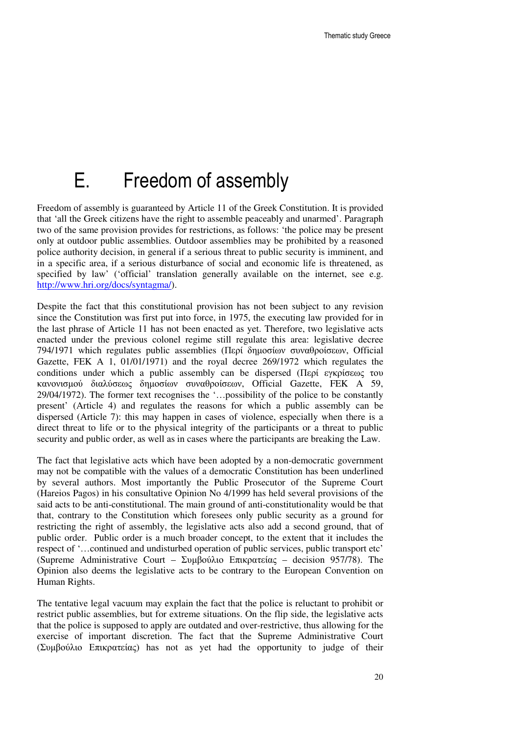## E. Freedom of assembly

Freedom of assembly is guaranteed by Article 11 of the Greek Constitution. It is provided that 'all the Greek citizens have the right to assemble peaceably and unarmed'. Paragraph two of the same provision provides for restrictions, as follows: 'the police may be present only at outdoor public assemblies. Outdoor assemblies may be prohibited by a reasoned police authority decision, in general if a serious threat to public security is imminent, and in a specific area, if a serious disturbance of social and economic life is threatened, as specified by law' ('official' translation generally available on the internet, see e.g. http://www.hri.org/docs/syntagma/).

Despite the fact that this constitutional provision has not been subject to any revision since the Constitution was first put into force, in 1975, the executing law provided for in the last phrase of Article 11 has not been enacted as yet. Therefore, two legislative acts enacted under the previous colonel regime still regulate this area: legislative decree 794/1971 which regulates public assemblies (Περί δηµοσίων συναθροίσεων, Official Gazette, FEK A 1, 01/01/1971) and the royal decree 269/1972 which regulates the conditions under which a public assembly can be dispersed (Περί εγκρίσεως του κανονισµού διαλύσεως δηµοσίων συναθροίσεων, Official Gazette, FEK A 59, 29/04/1972). The former text recognises the '…possibility of the police to be constantly present' (Article 4) and regulates the reasons for which a public assembly can be dispersed (Article 7): this may happen in cases of violence, especially when there is a direct threat to life or to the physical integrity of the participants or a threat to public security and public order, as well as in cases where the participants are breaking the Law.

The fact that legislative acts which have been adopted by a non-democratic government may not be compatible with the values of a democratic Constitution has been underlined by several authors. Most importantly the Public Prosecutor of the Supreme Court (Hareios Pagos) in his consultative Opinion No 4/1999 has held several provisions of the said acts to be anti-constitutional. The main ground of anti-constitutionality would be that that, contrary to the Constitution which foresees only public security as a ground for restricting the right of assembly, the legislative acts also add a second ground, that of public order. Public order is a much broader concept, to the extent that it includes the respect of '…continued and undisturbed operation of public services, public transport etc' (Supreme Administrative Court – Συµβούλιο Επικρατείας – decision 957/78). The Opinion also deems the legislative acts to be contrary to the European Convention on Human Rights.

The tentative legal vacuum may explain the fact that the police is reluctant to prohibit or restrict public assemblies, but for extreme situations. On the flip side, the legislative acts that the police is supposed to apply are outdated and over-restrictive, thus allowing for the exercise of important discretion. The fact that the Supreme Administrative Court (Συµβούλιο Επικρατείας) has not as yet had the opportunity to judge of their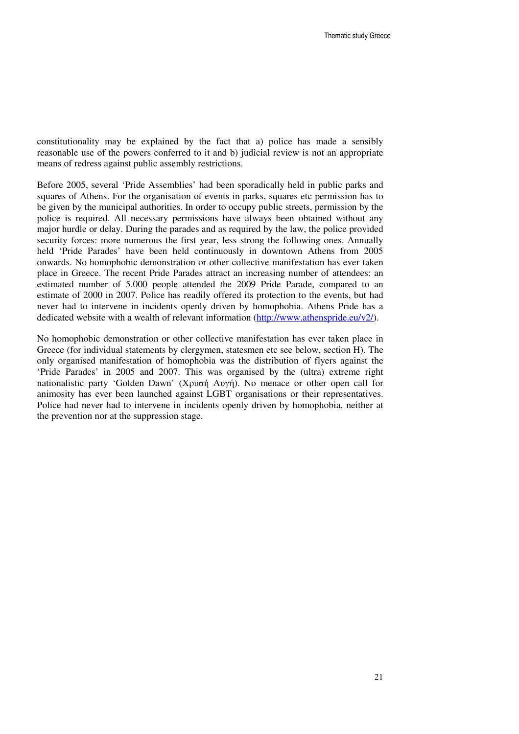constitutionality may be explained by the fact that a) police has made a sensibly reasonable use of the powers conferred to it and b) judicial review is not an appropriate means of redress against public assembly restrictions.

Before 2005, several 'Pride Assemblies' had been sporadically held in public parks and squares of Athens. For the organisation of events in parks, squares etc permission has to be given by the municipal authorities. In order to occupy public streets, permission by the police is required. All necessary permissions have always been obtained without any major hurdle or delay. During the parades and as required by the law, the police provided security forces: more numerous the first year, less strong the following ones. Annually held 'Pride Parades' have been held continuously in downtown Athens from 2005 onwards. No homophobic demonstration or other collective manifestation has ever taken place in Greece. The recent Pride Parades attract an increasing number of attendees: an estimated number of 5.000 people attended the 2009 Pride Parade, compared to an estimate of 2000 in 2007. Police has readily offered its protection to the events, but had never had to intervene in incidents openly driven by homophobia. Athens Pride has a dedicated website with a wealth of relevant information (http://www.athenspride.eu/v2/).

No homophobic demonstration or other collective manifestation has ever taken place in Greece (for individual statements by clergymen, statesmen etc see below, section H). The only organised manifestation of homophobia was the distribution of flyers against the 'Pride Parades' in 2005 and 2007. This was organised by the (ultra) extreme right nationalistic party 'Golden Dawn' (Χρυσή Αυγή). No menace or other open call for animosity has ever been launched against LGBT organisations or their representatives. Police had never had to intervene in incidents openly driven by homophobia, neither at the prevention nor at the suppression stage.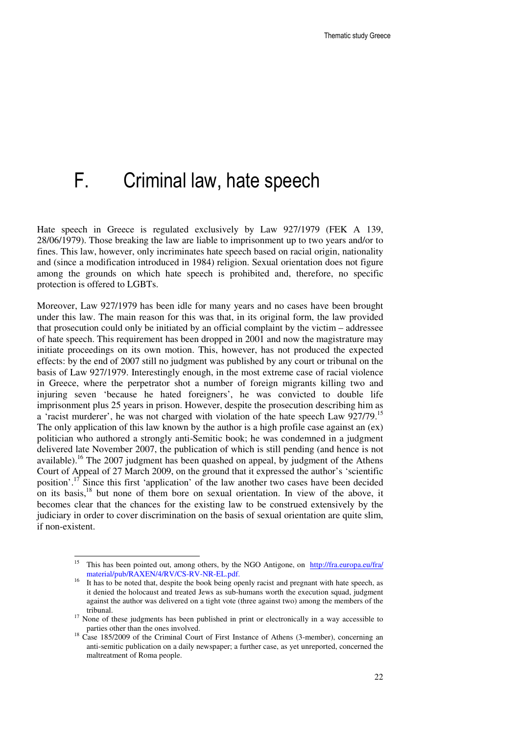## F. Criminal law, hate speech

Hate speech in Greece is regulated exclusively by Law 927/1979 (FEK A 139, 28/06/1979). Those breaking the law are liable to imprisonment up to two years and/or to fines. This law, however, only incriminates hate speech based on racial origin, nationality and (since a modification introduced in 1984) religion. Sexual orientation does not figure among the grounds on which hate speech is prohibited and, therefore, no specific protection is offered to LGBTs.

Moreover, Law 927/1979 has been idle for many years and no cases have been brought under this law. The main reason for this was that, in its original form, the law provided that prosecution could only be initiated by an official complaint by the victim – addressee of hate speech. This requirement has been dropped in 2001 and now the magistrature may initiate proceedings on its own motion. This, however, has not produced the expected effects: by the end of 2007 still no judgment was published by any court or tribunal on the basis of Law 927/1979. Interestingly enough, in the most extreme case of racial violence in Greece, where the perpetrator shot a number of foreign migrants killing two and injuring seven 'because he hated foreigners', he was convicted to double life imprisonment plus 25 years in prison. However, despite the prosecution describing him as a 'racist murderer', he was not charged with violation of the hate speech Law 927/79.<sup>15</sup> The only application of this law known by the author is a high profile case against an (ex) politician who authored a strongly anti-Semitic book; he was condemned in a judgment delivered late November 2007, the publication of which is still pending (and hence is not available).<sup>16</sup> The 2007 judgment has been quashed on appeal, by judgment of the Athens Court of Appeal of 27 March 2009, on the ground that it expressed the author's 'scientific position'.<sup>17</sup> Since this first 'application' of the law another two cases have been decided on its basis,<sup>18</sup> but none of them bore on sexual orientation. In view of the above, it becomes clear that the chances for the existing law to be construed extensively by the judiciary in order to cover discrimination on the basis of sexual orientation are quite slim, if non-existent.

 $\overline{a}$ 

<sup>15</sup> This has been pointed out, among others, by the NGO Antigone, on http://fra.europa.eu/fra/ material/pub/RAXEN/4/RV/CS-RV-NR-EL.pdf.

It has to be noted that, despite the book being openly racist and pregnant with hate speech, as it denied the holocaust and treated Jews as sub-humans worth the execution squad, judgment against the author was delivered on a tight vote (three against two) among the members of the tribunal.

<sup>&</sup>lt;sup>17</sup> None of these judgments has been published in print or electronically in a way accessible to parties other than the ones involved.

 $18$  Case 185/2009 of the Criminal Court of First Instance of Athens (3-member), concerning an anti-semitic publication on a daily newspaper; a further case, as yet unreported, concerned the maltreatment of Roma people.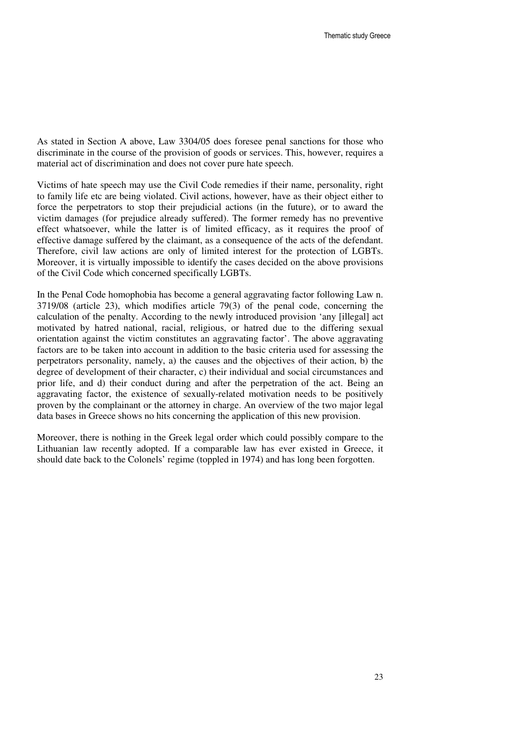As stated in Section A above, Law 3304/05 does foresee penal sanctions for those who discriminate in the course of the provision of goods or services. This, however, requires a material act of discrimination and does not cover pure hate speech.

Victims of hate speech may use the Civil Code remedies if their name, personality, right to family life etc are being violated. Civil actions, however, have as their object either to force the perpetrators to stop their prejudicial actions (in the future), or to award the victim damages (for prejudice already suffered). The former remedy has no preventive effect whatsoever, while the latter is of limited efficacy, as it requires the proof of effective damage suffered by the claimant, as a consequence of the acts of the defendant. Therefore, civil law actions are only of limited interest for the protection of LGBTs. Moreover, it is virtually impossible to identify the cases decided on the above provisions of the Civil Code which concerned specifically LGBTs.

In the Penal Code homophobia has become a general aggravating factor following Law n. 3719/08 (article 23), which modifies article 79(3) of the penal code, concerning the calculation of the penalty. According to the newly introduced provision 'any [illegal] act motivated by hatred national, racial, religious, or hatred due to the differing sexual orientation against the victim constitutes an aggravating factor'. The above aggravating factors are to be taken into account in addition to the basic criteria used for assessing the perpetrators personality, namely, a) the causes and the objectives of their action, b) the degree of development of their character, c) their individual and social circumstances and prior life, and d) their conduct during and after the perpetration of the act. Being an aggravating factor, the existence of sexually-related motivation needs to be positively proven by the complainant or the attorney in charge. An overview of the two major legal data bases in Greece shows no hits concerning the application of this new provision.

Moreover, there is nothing in the Greek legal order which could possibly compare to the Lithuanian law recently adopted. If a comparable law has ever existed in Greece, it should date back to the Colonels' regime (toppled in 1974) and has long been forgotten.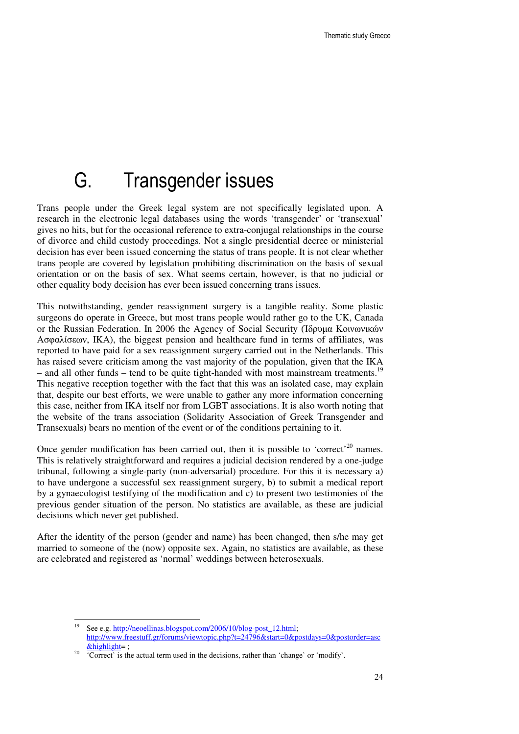## G. Transgender issues

Trans people under the Greek legal system are not specifically legislated upon. A research in the electronic legal databases using the words 'transgender' or 'transexual' gives no hits, but for the occasional reference to extra-conjugal relationships in the course of divorce and child custody proceedings. Not a single presidential decree or ministerial decision has ever been issued concerning the status of trans people. It is not clear whether trans people are covered by legislation prohibiting discrimination on the basis of sexual orientation or on the basis of sex. What seems certain, however, is that no judicial or other equality body decision has ever been issued concerning trans issues.

This notwithstanding, gender reassignment surgery is a tangible reality. Some plastic surgeons do operate in Greece, but most trans people would rather go to the UK, Canada or the Russian Federation. In 2006 the Agency of Social Security (Ίδρυµα Κοινωνικών Ασφαλίσεων, IKA), the biggest pension and healthcare fund in terms of affiliates, was reported to have paid for a sex reassignment surgery carried out in the Netherlands. This has raised severe criticism among the vast majority of the population, given that the IKA – and all other funds – tend to be quite tight-handed with most mainstream treatments.<sup>1</sup> This negative reception together with the fact that this was an isolated case, may explain that, despite our best efforts, we were unable to gather any more information concerning this case, neither from IKA itself nor from LGBT associations. It is also worth noting that the website of the trans association (Solidarity Association of Greek Transgender and Transexuals) bears no mention of the event or of the conditions pertaining to it.

Once gender modification has been carried out, then it is possible to 'correct'<sup>20</sup> names. This is relatively straightforward and requires a judicial decision rendered by a one-judge tribunal, following a single-party (non-adversarial) procedure. For this it is necessary a) to have undergone a successful sex reassignment surgery, b) to submit a medical report by a gynaecologist testifying of the modification and c) to present two testimonies of the previous gender situation of the person. No statistics are available, as these are judicial decisions which never get published.

After the identity of the person (gender and name) has been changed, then s/he may get married to someone of the (now) opposite sex. Again, no statistics are available, as these are celebrated and registered as 'normal' weddings between heterosexuals.

-

See e.g. http://neoellinas.blogspot.com/2006/10/blog-post\_12.html; http://www.freestuff.gr/forums/viewtopic.php?t=24796&start=0&postdays=0&postorder=asc  $&$ highlight=:

<sup>&</sup>lt;sup>20</sup> 'Correct' is the actual term used in the decisions, rather than 'change' or 'modify'.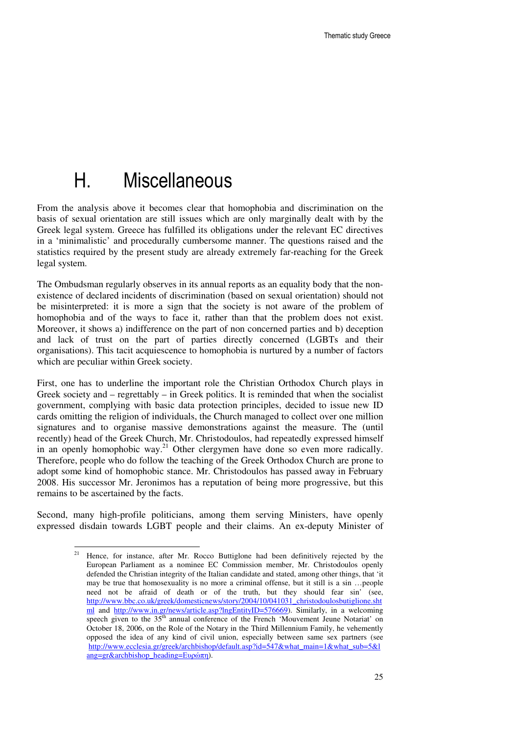# H. Miscellaneous

From the analysis above it becomes clear that homophobia and discrimination on the basis of sexual orientation are still issues which are only marginally dealt with by the Greek legal system. Greece has fulfilled its obligations under the relevant EC directives in a 'minimalistic' and procedurally cumbersome manner. The questions raised and the statistics required by the present study are already extremely far-reaching for the Greek legal system.

The Ombudsman regularly observes in its annual reports as an equality body that the nonexistence of declared incidents of discrimination (based on sexual orientation) should not be misinterpreted: it is more a sign that the society is not aware of the problem of homophobia and of the ways to face it, rather than that the problem does not exist. Moreover, it shows a) indifference on the part of non concerned parties and b) deception and lack of trust on the part of parties directly concerned (LGBTs and their organisations). This tacit acquiescence to homophobia is nurtured by a number of factors which are peculiar within Greek society.

First, one has to underline the important role the Christian Orthodox Church plays in Greek society and  $-$  regrettably  $-$  in Greek politics. It is reminded that when the socialist government, complying with basic data protection principles, decided to issue new ID cards omitting the religion of individuals, the Church managed to collect over one million signatures and to organise massive demonstrations against the measure. The (until recently) head of the Greek Church, Mr. Christodoulos, had repeatedly expressed himself in an openly homophobic way.<sup>21</sup> Other clergymen have done so even more radically. Therefore, people who do follow the teaching of the Greek Orthodox Church are prone to adopt some kind of homophobic stance. Mr. Christodoulos has passed away in February 2008. His successor Mr. Jeronimos has a reputation of being more progressive, but this remains to be ascertained by the facts.

Second, many high-profile politicians, among them serving Ministers, have openly expressed disdain towards LGBT people and their claims. An ex-deputy Minister of

 $21$ Hence, for instance, after Mr. Rocco Buttiglone had been definitively rejected by the European Parliament as a nominee EC Commission member, Mr. Christodoulos openly defended the Christian integrity of the Italian candidate and stated, among other things, that 'it may be true that homosexuality is no more a criminal offense, but it still is a sin …people need not be afraid of death or of the truth, but they should fear sin' (see, http://www.bbc.co.uk/greek/domesticnews/story/2004/10/041031\_christodoulosbutiglione.sht ml and http://www.in.gr/news/article.asp?lngEntityID=576669). Similarly, in a welcoming speech given to the  $35<sup>th</sup>$  annual conference of the French 'Mouvement Jeune Notariat' on October 18, 2006, on the Role of the Notary in the Third Millennium Family, he vehemently opposed the idea of any kind of civil union, especially between same sex partners (see http://www.ecclesia.gr/greek/archbishop/default.asp?id=547&what\_main=1&what\_sub=5&l ang=gr&archbishop\_heading=Ευρώπη).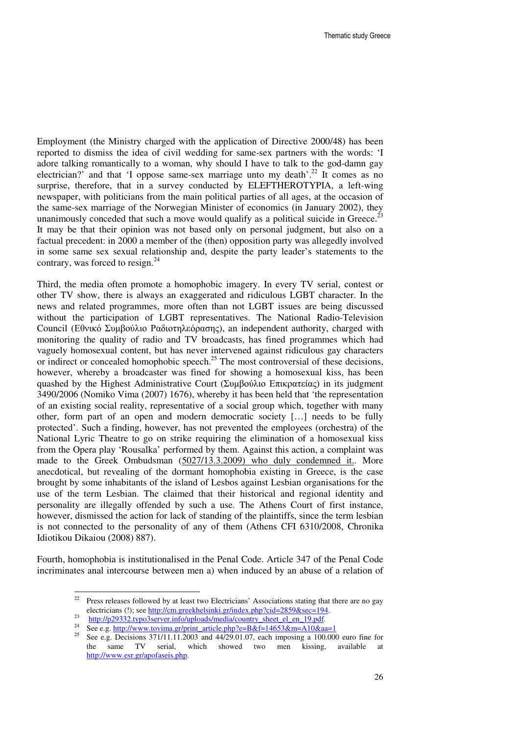Employment (the Ministry charged with the application of Directive 2000/48) has been reported to dismiss the idea of civil wedding for same-sex partners with the words: 'I adore talking romantically to a woman, why should I have to talk to the god-damn gay electrician?' and that 'I oppose same-sex marriage unto my death'.<sup>22</sup> It comes as no surprise, therefore, that in a survey conducted by ELEFTHEROTYPIA, a left-wing newspaper, with politicians from the main political parties of all ages, at the occasion of the same-sex marriage of the Norwegian Minister of economics (in January 2002), they unanimously conceded that such a move would qualify as a political suicide in Greece.<sup>23</sup> It may be that their opinion was not based only on personal judgment, but also on a factual precedent: in 2000 a member of the (then) opposition party was allegedly involved in some same sex sexual relationship and, despite the party leader's statements to the contrary, was forced to resign. $^{24}$ 

Third, the media often promote a homophobic imagery. In every TV serial, contest or other TV show, there is always an exaggerated and ridiculous LGBT character. In the news and related programmes, more often than not LGBT issues are being discussed without the participation of LGBT representatives. The National Radio-Television Council (Εθνικό Συµβούλιο Ραδιοτηλεόρασης), an independent authority, charged with monitoring the quality of radio and TV broadcasts, has fined programmes which had vaguely homosexual content, but has never intervened against ridiculous gay characters or indirect or concealed homophobic speech.<sup>25</sup> The most controversial of these decisions, however, whereby a broadcaster was fined for showing a homosexual kiss, has been quashed by the Highest Administrative Court (Συμβούλιο Επικρατείας) in its judgment 3490/2006 (Nomiko Vima (2007) 1676), whereby it has been held that 'the representation of an existing social reality, representative of a social group which, together with many other, form part of an open and modern democratic society […] needs to be fully protected'. Such a finding, however, has not prevented the employees (orchestra) of the National Lyric Theatre to go on strike requiring the elimination of a homosexual kiss from the Opera play 'Rousalka' performed by them. Against this action, a complaint was made to the Greek Ombudsman (5027/13.3.2009) who duly condemned it.. More anecdotical, but revealing of the dormant homophobia existing in Greece, is the case brought by some inhabitants of the island of Lesbos against Lesbian organisations for the use of the term Lesbian. The claimed that their historical and regional identity and personality are illegally offended by such a use. The Athens Court of first instance, however, dismissed the action for lack of standing of the plaintiffs, since the term lesbian is not connected to the personality of any of them (Athens CFI 6310/2008, Chronika Idiotikou Dikaiou (2008) 887).

Fourth, homophobia is institutionalised in the Penal Code. Article 347 of the Penal Code incriminates anal intercourse between men a) when induced by an abuse of a relation of

 $22$ Press releases followed by at least two Electricians' Associations stating that there are no gay electricians (!); see http://cm.greekhelsinki.gr/index.php?cid=2859&sec=194. 23

http://p29332.typo3server.info/uploads/media/country\_sheet\_el\_en\_19.pdf.

<sup>&</sup>lt;sup>24</sup> See e.g. http://www.tovima.gr/print\_article.php?e=B&f=14653&m=A10&aa=1<br><sup>25</sup> See e.g. Decisions 271/11.11.2002 and 44/20.01.07 seek imposing a 100.00

<sup>25</sup> See e.g. Decisions 371/11.11.2003 and 44/29.01.07, each imposing a 100.000 euro fine for the same TV serial, which showed two men kissing, available at http://www.esr.gr/apofaseis.php.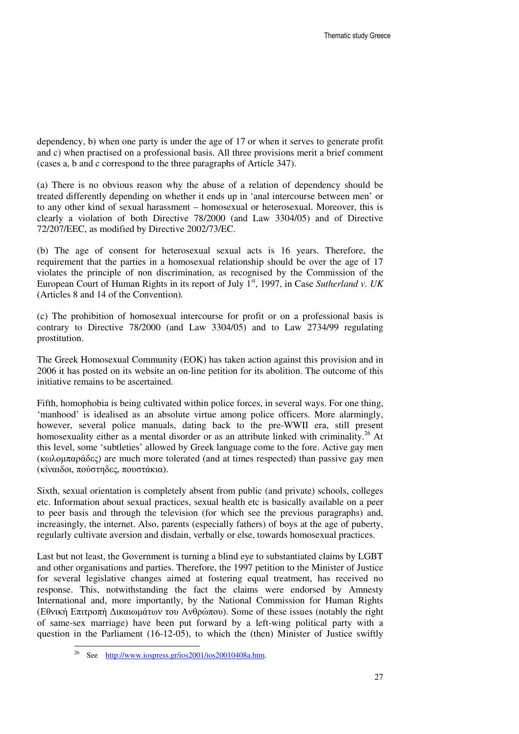dependency, b) when one party is under the age of 17 or when it serves to generate profit and c) when practised on a professional basis. All three provisions merit a brief comment (cases a, b and c correspond to the three paragraphs of Article 347).

(a) There is no obvious reason why the abuse of a relation of dependency should be treated differently depending on whether it ends up in 'anal intercourse between men' or to any other kind of sexual harassment – homosexual or heterosexual. Moreover, this is clearly a violation of both Directive 78/2000 (and Law 3304/05) and of Directive 72/207/EEC, as modified by Directive 2002/73/EC.

(b) The age of consent for heterosexual sexual acts is 16 years. Therefore, the requirement that the parties in a homosexual relationship should be over the age of 17 violates the principle of non discrimination, as recognised by the Commission of the European Court of Human Rights in its report of July 1<sup>st</sup>, 1997, in Case *Sutherland v. UK* (Articles 8 and 14 of the Convention)*.*

(c) The prohibition of homosexual intercourse for profit or on a professional basis is contrary to Directive 78/2000 (and Law 3304/05) and to Law 2734/99 regulating prostitution.

The Greek Homosexual Community (EOK) has taken action against this provision and in 2006 it has posted on its website an on-line petition for its abolition. The outcome of this initiative remains to be ascertained.

Fifth, homophobia is being cultivated within police forces, in several ways. For one thing, 'manhood' is idealised as an absolute virtue among police officers. More alarmingly, however, several police manuals, dating back to the pre-WWII era, still present homosexuality either as a mental disorder or as an attribute linked with criminality.<sup>26</sup> At this level, some 'subtleties' allowed by Greek language come to the fore. Active gay men (κωλοµπαράδες) are much more tolerated (and at times respected) than passive gay men (κίναιδοι, πούστηδες, πουστάκια).

Sixth, sexual orientation is completely absent from public (and private) schools, colleges etc. Information about sexual practices, sexual health etc is basically available on a peer to peer basis and through the television (for which see the previous paragraphs) and, increasingly, the internet. Also, parents (especially fathers) of boys at the age of puberty, regularly cultivate aversion and disdain, verbally or else, towards homosexual practices.

Last but not least, the Government is turning a blind eye to substantiated claims by LGBT and other organisations and parties. Therefore, the 1997 petition to the Minister of Justice for several legislative changes aimed at fostering equal treatment, has received no response. This, notwithstanding the fact the claims were endorsed by Amnesty International and, more importantly, by the National Commission for Human Rights (Εθνική Επιτροπή ∆ικαιωµάτων του Ανθρώπου). Some of these issues (notably the right of same-sex marriage) have been put forward by a left-wing political party with a question in the Parliament (16-12-05), to which the (then) Minister of Justice swiftly

 $\overline{a}$ 

<sup>&</sup>lt;sup>26</sup> See <u>http://www.iospress.gr/ios2001/ios20010408a.htm</u>.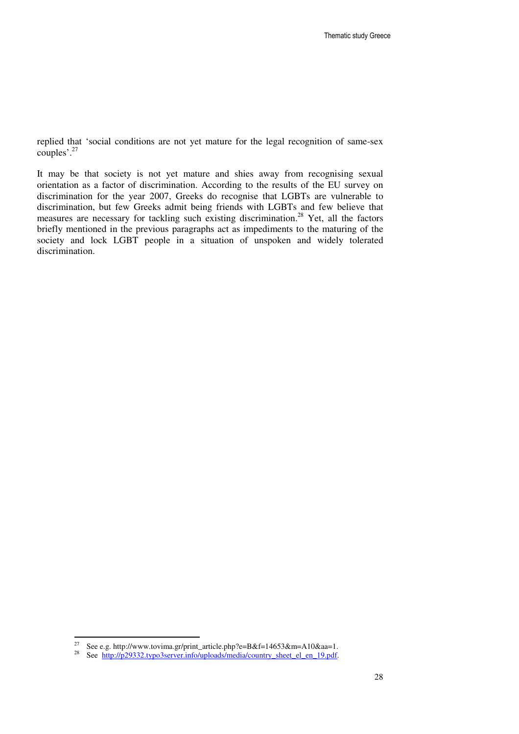replied that 'social conditions are not yet mature for the legal recognition of same-sex couples'.<sup>27</sup>

It may be that society is not yet mature and shies away from recognising sexual orientation as a factor of discrimination. According to the results of the EU survey on discrimination for the year 2007, Greeks do recognise that LGBTs are vulnerable to discrimination, but few Greeks admit being friends with LGBTs and few believe that measures are necessary for tackling such existing discrimination.<sup>28</sup> Yet, all the factors briefly mentioned in the previous paragraphs act as impediments to the maturing of the society and lock LGBT people in a situation of unspoken and widely tolerated discrimination.

<sup>27</sup> <sup>27</sup> See e.g. http://www.tovima.gr/print\_article.php?e=B&f=14653&m=A10&aa=1.<br><sup>28</sup> See http://p29332.typo3server.info/uplogds/media/country\_sheet\_el\_en\_19.pdf

See http://p29332.typo3server.info/uploads/media/country\_sheet\_el\_en\_19.pdf.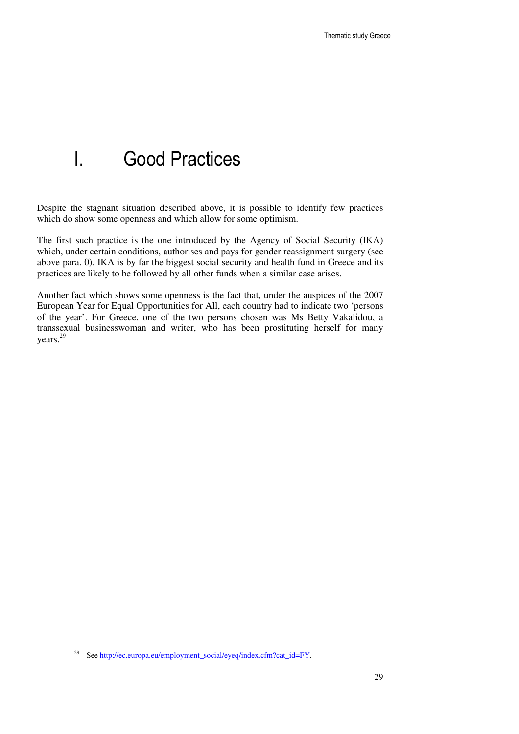## I. Good Practices

Despite the stagnant situation described above, it is possible to identify few practices which do show some openness and which allow for some optimism.

The first such practice is the one introduced by the Agency of Social Security (IKA) which, under certain conditions, authorises and pays for gender reassignment surgery (see above para. 0). IKA is by far the biggest social security and health fund in Greece and its practices are likely to be followed by all other funds when a similar case arises.

Another fact which shows some openness is the fact that, under the auspices of the 2007 European Year for Equal Opportunities for All, each country had to indicate two 'persons of the year'. For Greece, one of the two persons chosen was Ms Betty Vakalidou, a transsexual businesswoman and writer, who has been prostituting herself for many years.<sup>29</sup>

<sup>29</sup> See http://ec.europa.eu/employment\_social/eyeq/index.cfm?cat\_id=FY.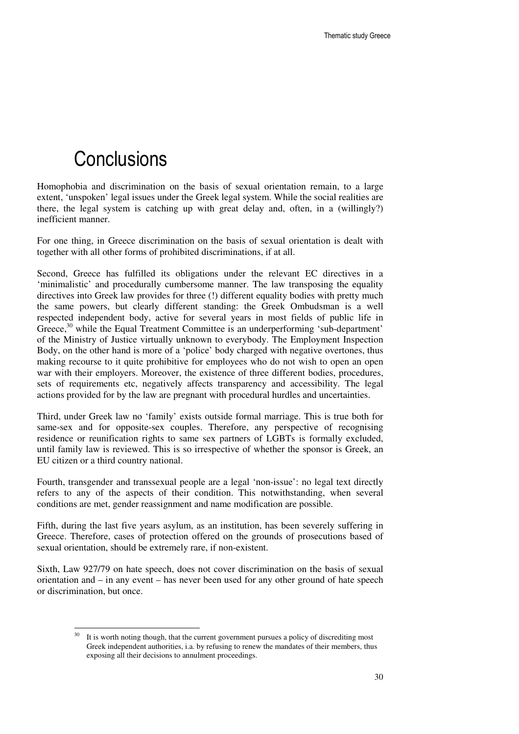## **Conclusions**

 $\overline{a}$ 

Homophobia and discrimination on the basis of sexual orientation remain, to a large extent, 'unspoken' legal issues under the Greek legal system. While the social realities are there, the legal system is catching up with great delay and, often, in a (willingly?) inefficient manner.

For one thing, in Greece discrimination on the basis of sexual orientation is dealt with together with all other forms of prohibited discriminations, if at all.

Second, Greece has fulfilled its obligations under the relevant EC directives in a 'minimalistic' and procedurally cumbersome manner. The law transposing the equality directives into Greek law provides for three (!) different equality bodies with pretty much the same powers, but clearly different standing: the Greek Ombudsman is a well respected independent body, active for several years in most fields of public life in Greece,<sup>30</sup> while the Equal Treatment Committee is an underperforming 'sub-department' of the Ministry of Justice virtually unknown to everybody. The Employment Inspection Body, on the other hand is more of a 'police' body charged with negative overtones, thus making recourse to it quite prohibitive for employees who do not wish to open an open war with their employers. Moreover, the existence of three different bodies, procedures, sets of requirements etc, negatively affects transparency and accessibility. The legal actions provided for by the law are pregnant with procedural hurdles and uncertainties.

Third, under Greek law no 'family' exists outside formal marriage. This is true both for same-sex and for opposite-sex couples. Therefore, any perspective of recognising residence or reunification rights to same sex partners of LGBTs is formally excluded, until family law is reviewed. This is so irrespective of whether the sponsor is Greek, an EU citizen or a third country national.

Fourth, transgender and transsexual people are a legal 'non-issue': no legal text directly refers to any of the aspects of their condition. This notwithstanding, when several conditions are met, gender reassignment and name modification are possible.

Fifth, during the last five years asylum, as an institution, has been severely suffering in Greece. Therefore, cases of protection offered on the grounds of prosecutions based of sexual orientation, should be extremely rare, if non-existent.

Sixth, Law 927/79 on hate speech, does not cover discrimination on the basis of sexual orientation and – in any event – has never been used for any other ground of hate speech or discrimination, but once.

It is worth noting though, that the current government pursues a policy of discrediting most Greek independent authorities, i.a. by refusing to renew the mandates of their members, thus exposing all their decisions to annulment proceedings.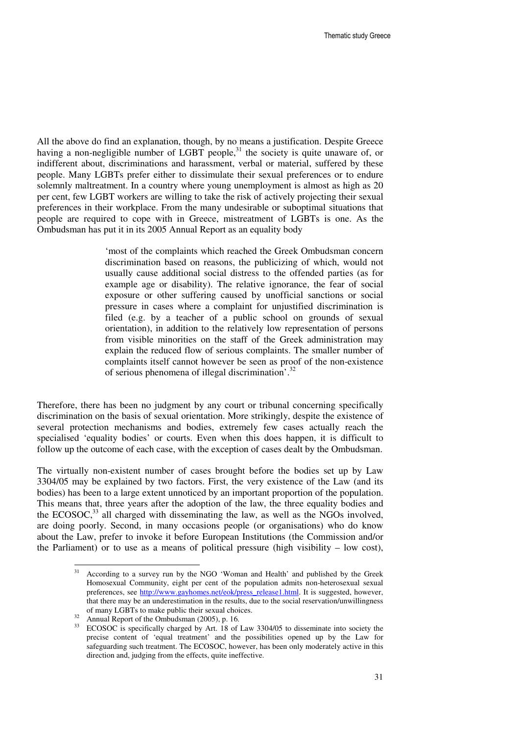All the above do find an explanation, though, by no means a justification. Despite Greece having a non-negligible number of LGBT people,<sup>31</sup> the society is quite unaware of, or indifferent about, discriminations and harassment, verbal or material, suffered by these people. Many LGBTs prefer either to dissimulate their sexual preferences or to endure solemnly maltreatment. In a country where young unemployment is almost as high as 20 per cent, few LGBT workers are willing to take the risk of actively projecting their sexual preferences in their workplace. From the many undesirable or suboptimal situations that people are required to cope with in Greece, mistreatment of LGBTs is one. As the Ombudsman has put it in its 2005 Annual Report as an equality body

> 'most of the complaints which reached the Greek Ombudsman concern discrimination based on reasons, the publicizing of which, would not usually cause additional social distress to the offended parties (as for example age or disability). The relative ignorance, the fear of social exposure or other suffering caused by unofficial sanctions or social pressure in cases where a complaint for unjustified discrimination is filed (e.g. by a teacher of a public school on grounds of sexual orientation), in addition to the relatively low representation of persons from visible minorities on the staff of the Greek administration may explain the reduced flow of serious complaints. The smaller number of complaints itself cannot however be seen as proof of the non-existence of serious phenomena of illegal discrimination'.<sup>32</sup>

Therefore, there has been no judgment by any court or tribunal concerning specifically discrimination on the basis of sexual orientation. More strikingly, despite the existence of several protection mechanisms and bodies, extremely few cases actually reach the specialised 'equality bodies' or courts. Even when this does happen, it is difficult to follow up the outcome of each case, with the exception of cases dealt by the Ombudsman.

The virtually non-existent number of cases brought before the bodies set up by Law 3304/05 may be explained by two factors. First, the very existence of the Law (and its bodies) has been to a large extent unnoticed by an important proportion of the population. This means that, three years after the adoption of the law, the three equality bodies and the ECOSOC, $33$  all charged with disseminating the law, as well as the NGOs involved, are doing poorly. Second, in many occasions people (or organisations) who do know about the Law, prefer to invoke it before European Institutions (the Commission and/or the Parliament) or to use as a means of political pressure (high visibility – low cost),

 $31$ <sup>31</sup> According to a survey run by the NGO 'Woman and Health' and published by the Greek Homosexual Community, eight per cent of the population admits non-heterosexual sexual preferences, see http://www.gayhomes.net/eok/press\_release1.html. It is suggested, however, that there may be an underestimation in the results, due to the social reservation/unwillingness of many LGBTs to make public their sexual choices.

<sup>&</sup>lt;sup>32</sup> Annual Report of the Ombudsman (2005), p. 16.

<sup>&</sup>lt;sup>33</sup> ECOSOC is specifically charged by Art. 18 of Law 3304/05 to disseminate into society the precise content of 'equal treatment' and the possibilities opened up by the Law for safeguarding such treatment. The ECOSOC, however, has been only moderately active in this direction and, judging from the effects, quite ineffective.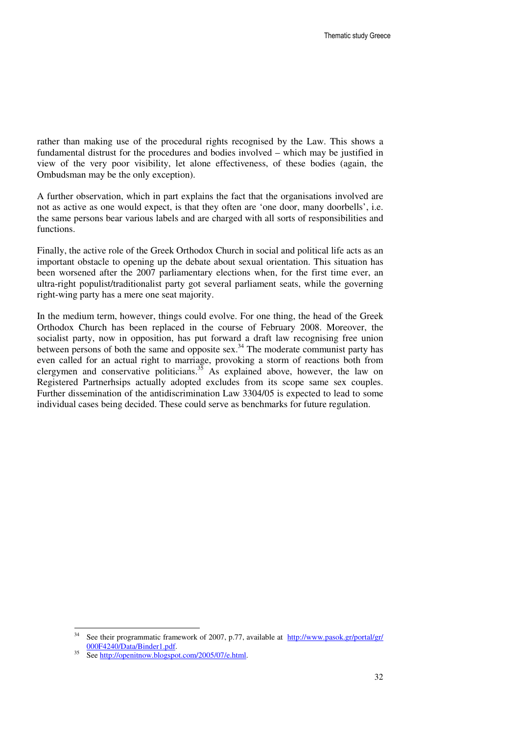rather than making use of the procedural rights recognised by the Law. This shows a fundamental distrust for the procedures and bodies involved – which may be justified in view of the very poor visibility, let alone effectiveness, of these bodies (again, the Ombudsman may be the only exception).

A further observation, which in part explains the fact that the organisations involved are not as active as one would expect, is that they often are 'one door, many doorbells', i.e. the same persons bear various labels and are charged with all sorts of responsibilities and functions.

Finally, the active role of the Greek Orthodox Church in social and political life acts as an important obstacle to opening up the debate about sexual orientation. This situation has been worsened after the 2007 parliamentary elections when, for the first time ever, an ultra-right populist/traditionalist party got several parliament seats, while the governing right-wing party has a mere one seat majority.

In the medium term, however, things could evolve. For one thing, the head of the Greek Orthodox Church has been replaced in the course of February 2008. Moreover, the socialist party, now in opposition, has put forward a draft law recognising free union between persons of both the same and opposite sex.<sup>34</sup> The moderate communist party has even called for an actual right to marriage, provoking a storm of reactions both from clergymen and conservative politicians.<sup>35</sup> As explained above, however, the law on Registered Partnerhsips actually adopted excludes from its scope same sex couples. Further dissemination of the antidiscrimination Law 3304/05 is expected to lead to some individual cases being decided. These could serve as benchmarks for future regulation.

<sup>34</sup> See their programmatic framework of 2007, p.77, available at http://www.pasok.gr/portal/gr/ 000F4240/Data/Binder1.pdf.

 $35$  See http://openitnow.blogspot.com/2005/07/e.html.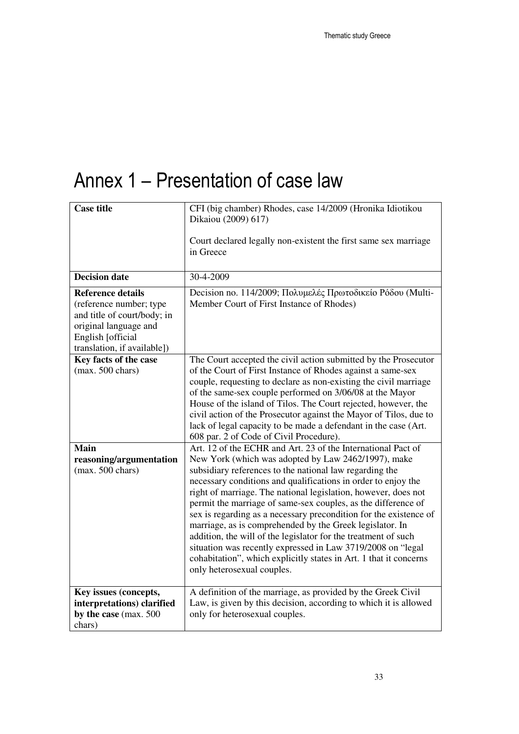# Annex 1 – Presentation of case law

| <b>Case title</b>                                                                                                                                               | CFI (big chamber) Rhodes, case 14/2009 (Hronika Idiotikou<br>Dikaiou (2009) 617)<br>Court declared legally non-existent the first same sex marriage<br>in Greece                                                                                                                                                                                                                                                                                                                                                                                                                                                                                                                                                                                        |
|-----------------------------------------------------------------------------------------------------------------------------------------------------------------|---------------------------------------------------------------------------------------------------------------------------------------------------------------------------------------------------------------------------------------------------------------------------------------------------------------------------------------------------------------------------------------------------------------------------------------------------------------------------------------------------------------------------------------------------------------------------------------------------------------------------------------------------------------------------------------------------------------------------------------------------------|
| <b>Decision date</b>                                                                                                                                            | 30-4-2009                                                                                                                                                                                                                                                                                                                                                                                                                                                                                                                                                                                                                                                                                                                                               |
| <b>Reference details</b><br>(reference number; type<br>and title of court/body; in<br>original language and<br>English [official<br>translation, if available]) | Decision no. 114/2009; Πολυμελές Πρωτοδικείο Ρόδου (Multi-<br>Member Court of First Instance of Rhodes)                                                                                                                                                                                                                                                                                                                                                                                                                                                                                                                                                                                                                                                 |
| Key facts of the case<br>$(max. 500 \text{ chars})$                                                                                                             | The Court accepted the civil action submitted by the Prosecutor<br>of the Court of First Instance of Rhodes against a same-sex<br>couple, requesting to declare as non-existing the civil marriage<br>of the same-sex couple performed on 3/06/08 at the Mayor<br>House of the island of Tilos. The Court rejected, however, the<br>civil action of the Prosecutor against the Mayor of Tilos, due to<br>lack of legal capacity to be made a defendant in the case (Art.<br>608 par. 2 of Code of Civil Procedure).                                                                                                                                                                                                                                     |
| <b>Main</b><br>reasoning/argumentation<br>$(max. 500 \text{ chars})$                                                                                            | Art. 12 of the ECHR and Art. 23 of the International Pact of<br>New York (which was adopted by Law 2462/1997), make<br>subsidiary references to the national law regarding the<br>necessary conditions and qualifications in order to enjoy the<br>right of marriage. The national legislation, however, does not<br>permit the marriage of same-sex couples, as the difference of<br>sex is regarding as a necessary precondition for the existence of<br>marriage, as is comprehended by the Greek legislator. In<br>addition, the will of the legislator for the treatment of such<br>situation was recently expressed in Law 3719/2008 on "legal<br>cohabitation", which explicitly states in Art. 1 that it concerns<br>only heterosexual couples. |
| Key issues (concepts,<br>interpretations) clarified<br>by the case (max. 500<br>chars)                                                                          | A definition of the marriage, as provided by the Greek Civil<br>Law, is given by this decision, according to which it is allowed<br>only for heterosexual couples.                                                                                                                                                                                                                                                                                                                                                                                                                                                                                                                                                                                      |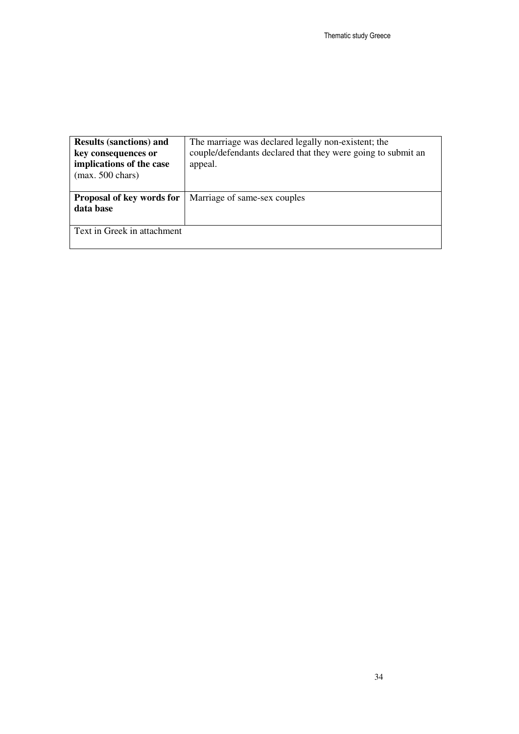| <b>Results (sanctions) and</b><br>key consequences or<br>implications of the case<br>$(max. 500 \text{ chars})$ | The marriage was declared legally non-existent; the<br>couple/defendants declared that they were going to submit an<br>appeal. |
|-----------------------------------------------------------------------------------------------------------------|--------------------------------------------------------------------------------------------------------------------------------|
| Proposal of key words for                                                                                       | Marriage of same-sex couples                                                                                                   |
| data base                                                                                                       |                                                                                                                                |
|                                                                                                                 |                                                                                                                                |
| Text in Greek in attachment                                                                                     |                                                                                                                                |
|                                                                                                                 |                                                                                                                                |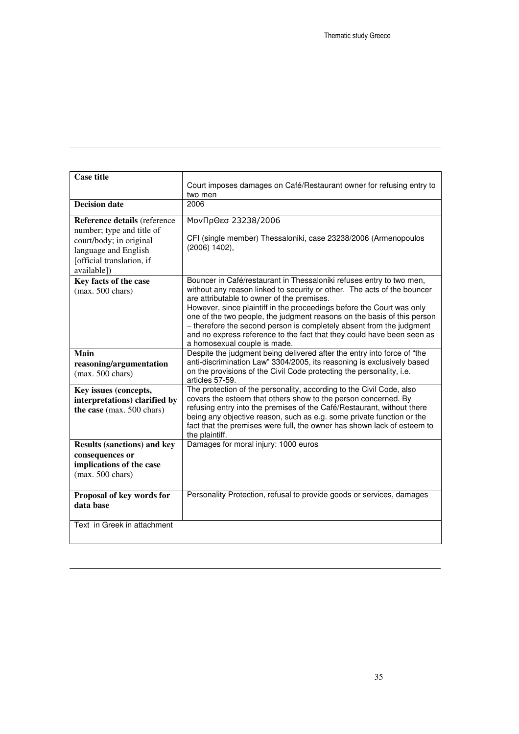| <b>Case title</b>                                                                                                                                        | Court imposes damages on Café/Restaurant owner for refusing entry to<br>two men                                                                                                                                                                                                                                                                                                                                                                                                                                                     |
|----------------------------------------------------------------------------------------------------------------------------------------------------------|-------------------------------------------------------------------------------------------------------------------------------------------------------------------------------------------------------------------------------------------------------------------------------------------------------------------------------------------------------------------------------------------------------------------------------------------------------------------------------------------------------------------------------------|
| <b>Decision date</b>                                                                                                                                     | 2006                                                                                                                                                                                                                                                                                                                                                                                                                                                                                                                                |
| Reference details (reference<br>number; type and title of<br>court/body; in original<br>language and English<br>[official translation, if<br>available]) | ΜονΠρΘεσ 23238/2006<br>CFI (single member) Thessaloniki, case 23238/2006 (Armenopoulos<br>$(2006)$ 1402),                                                                                                                                                                                                                                                                                                                                                                                                                           |
| Key facts of the case<br>$(max. 500 \text{ chars})$                                                                                                      | Bouncer in Café/restaurant in Thessaloniki refuses entry to two men,<br>without any reason linked to security or other. The acts of the bouncer<br>are attributable to owner of the premises.<br>However, since plaintiff in the proceedings before the Court was only<br>one of the two people, the judgment reasons on the basis of this person<br>- therefore the second person is completely absent from the judgment<br>and no express reference to the fact that they could have been seen as<br>a homosexual couple is made. |
| Main<br>reasoning/argumentation<br>$(max. 500 \text{ chars})$                                                                                            | Despite the judgment being delivered after the entry into force of "the<br>anti-discrimination Law" 3304/2005, its reasoning is exclusively based<br>on the provisions of the Civil Code protecting the personality, i.e.<br>articles 57-59.                                                                                                                                                                                                                                                                                        |
| Key issues (concepts,<br>interpretations) clarified by<br>the case (max. 500 chars)                                                                      | The protection of the personality, according to the Civil Code, also<br>covers the esteem that others show to the person concerned. By<br>refusing entry into the premises of the Café/Restaurant, without there<br>being any objective reason, such as e.g. some private function or the<br>fact that the premises were full, the owner has shown lack of esteem to<br>the plaintiff.                                                                                                                                              |
| <b>Results (sanctions) and key</b><br>consequences or<br>implications of the case<br>$(max. 500 \text{ chars})$                                          | Damages for moral injury: 1000 euros                                                                                                                                                                                                                                                                                                                                                                                                                                                                                                |
| Proposal of key words for<br>data base                                                                                                                   | Personality Protection, refusal to provide goods or services, damages                                                                                                                                                                                                                                                                                                                                                                                                                                                               |
| Text in Greek in attachment                                                                                                                              |                                                                                                                                                                                                                                                                                                                                                                                                                                                                                                                                     |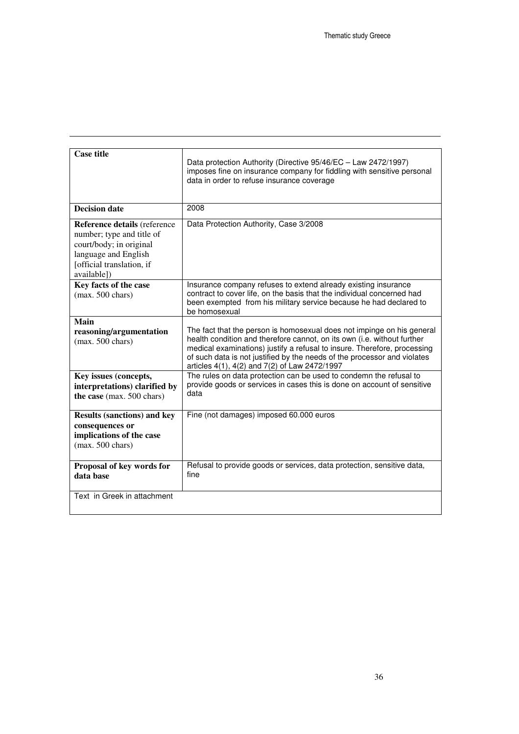| <b>Case title</b>                                                                                                                                        | Data protection Authority (Directive 95/46/EC - Law 2472/1997)<br>imposes fine on insurance company for fiddling with sensitive personal<br>data in order to refuse insurance coverage                                                                                                                                                                     |
|----------------------------------------------------------------------------------------------------------------------------------------------------------|------------------------------------------------------------------------------------------------------------------------------------------------------------------------------------------------------------------------------------------------------------------------------------------------------------------------------------------------------------|
| <b>Decision date</b>                                                                                                                                     | 2008                                                                                                                                                                                                                                                                                                                                                       |
| Reference details (reference<br>number; type and title of<br>court/body; in original<br>language and English<br>[official translation, if<br>availablel) | Data Protection Authority, Case 3/2008                                                                                                                                                                                                                                                                                                                     |
| Key facts of the case<br>(max. 500 chars)                                                                                                                | Insurance company refuses to extend already existing insurance<br>contract to cover life, on the basis that the individual concerned had<br>been exempted from his military service because he had declared to<br>be homosexual                                                                                                                            |
| Main<br>reasoning/argumentation<br>$(max. 500 \text{ chars})$                                                                                            | The fact that the person is homosexual does not impinge on his general<br>health condition and therefore cannot, on its own (i.e. without further<br>medical examinations) justify a refusal to insure. Therefore, processing<br>of such data is not justified by the needs of the processor and violates<br>articles 4(1), 4(2) and 7(2) of Law 2472/1997 |
| Key issues (concepts,<br>interpretations) clarified by<br>the case (max. 500 chars)                                                                      | The rules on data protection can be used to condemn the refusal to<br>provide goods or services in cases this is done on account of sensitive<br>data                                                                                                                                                                                                      |
| <b>Results (sanctions) and key</b><br>consequences or<br>implications of the case<br>$(max. 500 \text{ chars})$                                          | Fine (not damages) imposed 60.000 euros                                                                                                                                                                                                                                                                                                                    |
| Proposal of key words for<br>data base                                                                                                                   | Refusal to provide goods or services, data protection, sensitive data,<br>fine                                                                                                                                                                                                                                                                             |
| Text in Greek in attachment                                                                                                                              |                                                                                                                                                                                                                                                                                                                                                            |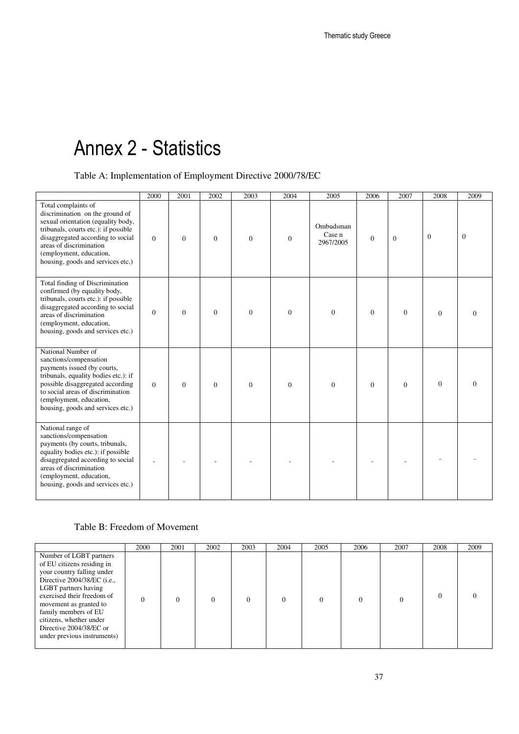# Annex 2 - Statistics

Table A: Implementation of Employment Directive 2000/78/EC

|                                                                                                                                                                                                                                                                      | 2000         | 2001             | 2002     | 2003         | 2004     | 2005                             | 2006         | 2007         | 2008           | 2009     |
|----------------------------------------------------------------------------------------------------------------------------------------------------------------------------------------------------------------------------------------------------------------------|--------------|------------------|----------|--------------|----------|----------------------------------|--------------|--------------|----------------|----------|
| Total complaints of<br>discrimination on the ground of<br>sexual orientation (equality body,<br>tribunals, courts etc.): if possible<br>disaggregated according to social<br>areas of discrimination<br>(employment, education,<br>housing, goods and services etc.) | $\mathbf{0}$ | $\boldsymbol{0}$ | $\theta$ | $\mathbf{0}$ | $\theta$ | Ombudsman<br>Case n<br>2967/2005 | $\mathbf{0}$ | $\mathbf{0}$ | $\Omega$       | $\theta$ |
| Total finding of Discrimination<br>confirmed (by equality body,<br>tribunals, courts etc.): if possible<br>disaggregated according to social<br>areas of discrimination<br>(employment, education,<br>housing, goods and services etc.)                              | $\Omega$     | $\mathbf{0}$     | $\Omega$ | $\Omega$     | $\theta$ | $\overline{0}$                   | $\mathbf{0}$ | $\mathbf{0}$ | $\overline{0}$ | $\Omega$ |
| National Number of<br>sanctions/compensation<br>payments issued (by courts,<br>tribunals, equality bodies etc.): if<br>possible disaggregated according<br>to social areas of discrimination<br>(employment, education,<br>housing, goods and services etc.)         | $\Omega$     | $\Omega$         | $\Omega$ | $\Omega$     | $\theta$ | $\Omega$                         | $\Omega$     | $\Omega$     | $\overline{0}$ | $\Omega$ |
| National range of<br>sanctions/compensation<br>payments (by courts, tribunals,<br>equality bodies etc.): if possible<br>disaggregated according to social<br>areas of discrimination<br>(employment, education,<br>housing, goods and services etc.)                 |              |                  |          |              |          |                                  |              |              |                |          |

#### Table B: Freedom of Movement

|                                                                                                                                                                                                                                                                                                                          | 2000     | 2001     | 2002 | 2003     | 2004     | 2005     | 2006 | 2007     | 2008 | 2009 |
|--------------------------------------------------------------------------------------------------------------------------------------------------------------------------------------------------------------------------------------------------------------------------------------------------------------------------|----------|----------|------|----------|----------|----------|------|----------|------|------|
| Number of LGBT partners<br>of EU citizens residing in<br>your country falling under<br>Directive 2004/38/EC ( <i>i.e.</i> ,<br>LGBT partners having<br>exercised their freedom of<br>movement as granted to<br>family members of EU<br>citizens, whether under<br>Directive 2004/38/EC or<br>under previous instruments) | $\Omega$ | $\Omega$ |      | $\Omega$ | $\theta$ | $\theta$ |      | $\Omega$ |      |      |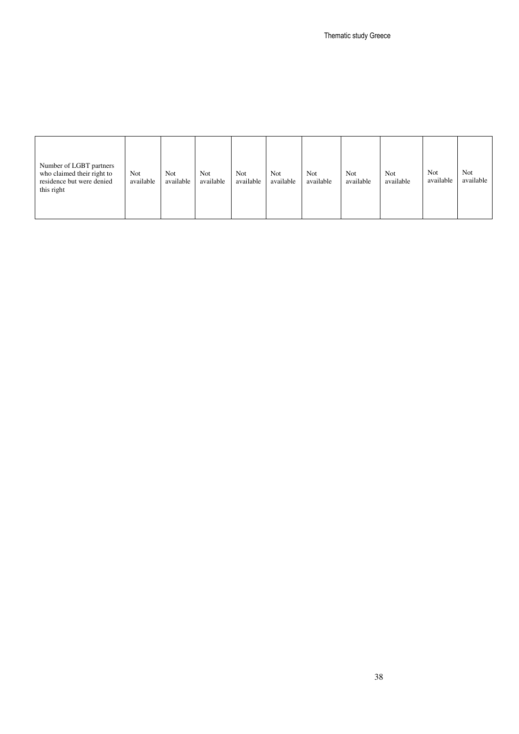| Number of LGBT partners<br>who claimed their right to<br>residence but were denied<br>this right | Not<br>available | <b>Not</b><br>available | Not<br>available | <b>Not</b><br>available | Not<br>available | Not.<br>available | Not<br>available | Not<br>available | <b>Not</b><br>available | <b>Not</b><br>available |
|--------------------------------------------------------------------------------------------------|------------------|-------------------------|------------------|-------------------------|------------------|-------------------|------------------|------------------|-------------------------|-------------------------|
|                                                                                                  |                  |                         |                  |                         |                  |                   |                  |                  |                         |                         |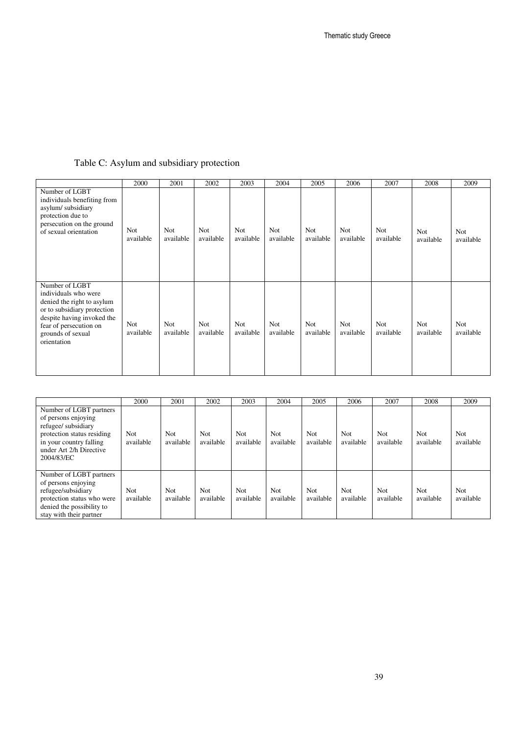#### Table C: Asylum and subsidiary protection

|                                                                                                                                                                                                 | 2000             | 2001             | 2002             | 2003                    | 2004             | 2005             | 2006                    | 2007             | 2008                    | 2009                    |
|-------------------------------------------------------------------------------------------------------------------------------------------------------------------------------------------------|------------------|------------------|------------------|-------------------------|------------------|------------------|-------------------------|------------------|-------------------------|-------------------------|
| Number of LGBT<br>individuals benefiting from<br>asylum/subsidiary<br>protection due to<br>persecution on the ground<br>of sexual orientation                                                   | Not<br>available | Not<br>available | Not<br>available | <b>Not</b><br>available | Not<br>available | Not<br>available | <b>Not</b><br>available | Not<br>available | Not<br>available        | <b>Not</b><br>available |
| Number of LGBT<br>individuals who were<br>denied the right to asylum<br>or to subsidiary protection<br>despite having invoked the<br>fear of persecution on<br>grounds of sexual<br>orientation | Not<br>available | Not<br>available | Not<br>available | Not<br>available        | Not<br>available | Not<br>available | Not<br>available        | Not<br>available | <b>Not</b><br>available | Not<br>available        |

|                                                                                                                                                                         | 2000              | 2001                    | 2002                    | 2003                    | 2004              | 2005                    | 2006                    | 2007                    | 2008                    | 2009                    |
|-------------------------------------------------------------------------------------------------------------------------------------------------------------------------|-------------------|-------------------------|-------------------------|-------------------------|-------------------|-------------------------|-------------------------|-------------------------|-------------------------|-------------------------|
| Number of LGBT partners<br>of persons enjoying<br>refugee/ subsidiary<br>protection status residing<br>in your country falling<br>under Art 2/h Directive<br>2004/83/EC | Not<br>available  | Not<br>available        | <b>Not</b><br>available | <b>Not</b><br>available | Not<br>available  | <b>Not</b><br>available | Not<br>available        | <b>Not</b><br>available | <b>Not</b><br>available | <b>Not</b><br>available |
| Number of LGBT partners<br>of persons enjoying<br>refugee/subsidiary<br>protection status who were<br>denied the possibility to<br>stay with their partner              | Not.<br>available | <b>Not</b><br>available | <b>Not</b><br>available | Not.<br>available       | Not.<br>available | <b>Not</b><br>available | <b>Not</b><br>available | Not.<br>available       | <b>Not</b><br>available | <b>Not</b><br>available |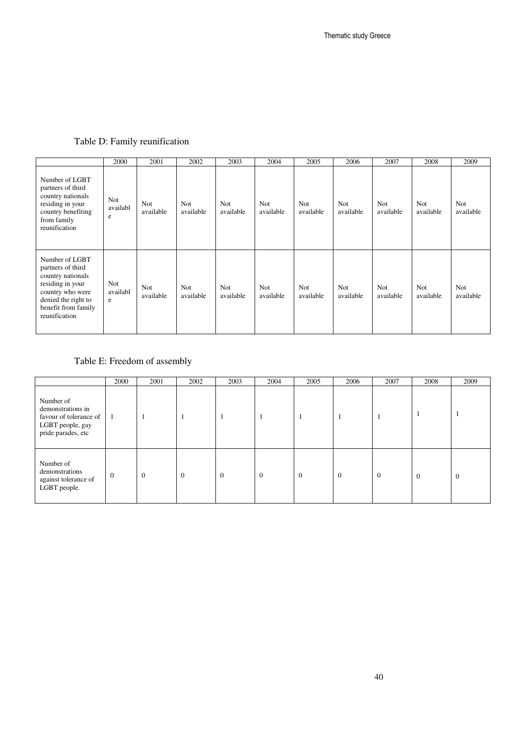|                                                                                                                                                                 | 2000                        | 2001             | 2002             | 2003             | 2004                    | 2005             | 2006                    | 2007                    | 2008             | 2009                    |
|-----------------------------------------------------------------------------------------------------------------------------------------------------------------|-----------------------------|------------------|------------------|------------------|-------------------------|------------------|-------------------------|-------------------------|------------------|-------------------------|
| Number of LGBT<br>partners of third<br>country nationals<br>residing in your<br>country benefiting<br>from family<br>reunification                              | <b>Not</b><br>availabl<br>e | Not<br>available | Not<br>available | Not<br>available | Not<br>available        | Not<br>available | <b>Not</b><br>available | <b>Not</b><br>available | Not<br>available | <b>Not</b><br>available |
| Number of LGBT<br>partners of third<br>country nationals<br>residing in your<br>country who were<br>denied the right to<br>benefit from family<br>reunification | <b>Not</b><br>availabl<br>e | Not<br>available | Not<br>available | Not<br>available | <b>Not</b><br>available | Not<br>available | Not<br>available        | <b>Not</b><br>available | Not<br>available | Not<br>available        |

#### Table D: Family reunification

#### Table E: Freedom of assembly

|                                                                                                    | 2000             | 2001           | 2002           | 2003     | 2004           | 2005     | 2006           | 2007           | 2008           | 2009           |
|----------------------------------------------------------------------------------------------------|------------------|----------------|----------------|----------|----------------|----------|----------------|----------------|----------------|----------------|
| Number of<br>demonstrations in<br>favour of tolerance of<br>LGBT people, gay<br>pride parades, etc | $\blacksquare$   |                |                |          |                | -1       | -1             |                |                |                |
| Number of<br>demonstrations<br>against tolerance of<br>LGBT people.                                | $\boldsymbol{0}$ | $\overline{0}$ | $\overline{0}$ | $\theta$ | $\overline{0}$ | $\theta$ | $\overline{0}$ | $\overline{0}$ | $\overline{0}$ | $\overline{0}$ |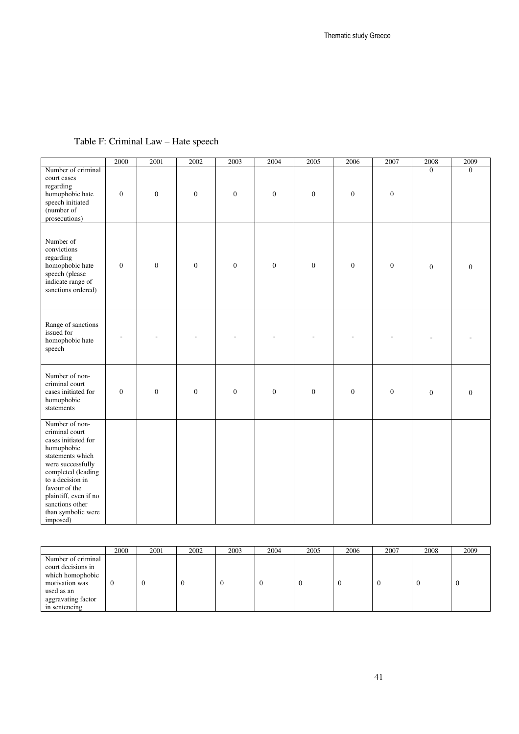|                                                                                                                                                                                                                                                         | 2000             | 2001             | 2002             | 2003             | 2004             | 2005             | 2006             | 2007             | 2008             | 2009             |
|---------------------------------------------------------------------------------------------------------------------------------------------------------------------------------------------------------------------------------------------------------|------------------|------------------|------------------|------------------|------------------|------------------|------------------|------------------|------------------|------------------|
| Number of criminal<br>court cases<br>regarding<br>homophobic hate<br>speech initiated<br>(number of<br>prosecutions)                                                                                                                                    | $\boldsymbol{0}$ | $\boldsymbol{0}$ | $\boldsymbol{0}$ | $\boldsymbol{0}$ | $\boldsymbol{0}$ | $\boldsymbol{0}$ | $\boldsymbol{0}$ | $\boldsymbol{0}$ | $\Omega$         | $\Omega$         |
| Number of<br>convictions<br>regarding<br>homophobic hate<br>speech (please<br>indicate range of<br>sanctions ordered)                                                                                                                                   | $\boldsymbol{0}$ | $\mathbf{0}$     | $\boldsymbol{0}$ | $\boldsymbol{0}$ | $\boldsymbol{0}$ | $\boldsymbol{0}$ | $\boldsymbol{0}$ | $\boldsymbol{0}$ | $\mathbf{0}$     | $\boldsymbol{0}$ |
| Range of sanctions<br>issued for<br>homophobic hate<br>speech                                                                                                                                                                                           |                  |                  |                  |                  |                  |                  |                  |                  |                  |                  |
| Number of non-<br>criminal court<br>cases initiated for<br>homophobic<br>statements                                                                                                                                                                     | $\boldsymbol{0}$ | $\mathbf{0}$     | $\boldsymbol{0}$ | $\boldsymbol{0}$ | $\boldsymbol{0}$ | $\boldsymbol{0}$ | $\boldsymbol{0}$ | $\boldsymbol{0}$ | $\boldsymbol{0}$ | $\boldsymbol{0}$ |
| Number of non-<br>criminal court<br>cases initiated for<br>homophobic<br>statements which<br>were successfully<br>completed (leading<br>to a decision in<br>favour of the<br>plaintiff, even if no<br>sanctions other<br>than symbolic were<br>imposed) |                  |                  |                  |                  |                  |                  |                  |                  |                  |                  |

#### Table F: Criminal Law – Hate speech

|                                                                                                                                     | 2000 | 2001 | 2002 | 2003 | 2004 | 2005 | 2006 | 2007 | 2008 | 2009 |
|-------------------------------------------------------------------------------------------------------------------------------------|------|------|------|------|------|------|------|------|------|------|
| Number of criminal<br>court decisions in<br>which homophobic<br>motivation was<br>used as an<br>aggravating factor<br>in sentencing |      | v    |      | .,   |      |      |      |      |      |      |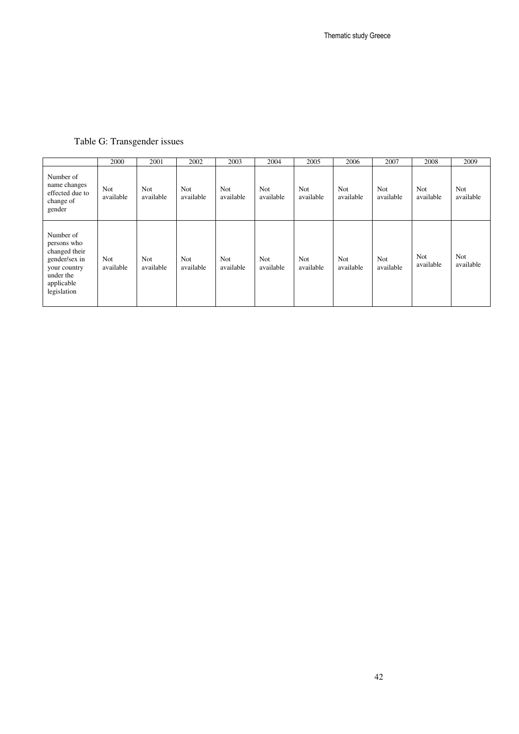|                                                                                                                      | 2000                    | 2001             | 2002                    | 2003                    | 2004                    | 2005                    | 2006                    | 2007                    | 2008                    | 2009                    |
|----------------------------------------------------------------------------------------------------------------------|-------------------------|------------------|-------------------------|-------------------------|-------------------------|-------------------------|-------------------------|-------------------------|-------------------------|-------------------------|
| Number of<br>name changes<br>effected due to<br>change of<br>gender                                                  | Not<br>available        | Not<br>available | <b>Not</b><br>available | <b>Not</b><br>available | <b>Not</b><br>available | <b>Not</b><br>available | <b>Not</b><br>available | Not<br>available        | <b>Not</b><br>available | <b>Not</b><br>available |
| Number of<br>persons who<br>changed their<br>gender/sex in<br>your country<br>under the<br>applicable<br>legislation | <b>Not</b><br>available | Not<br>available | Not<br>available        | <b>Not</b><br>available | <b>Not</b><br>available | Not<br>available        | <b>Not</b><br>available | <b>Not</b><br>available | Not<br>available        | <b>Not</b><br>available |

#### Table G: Transgender issues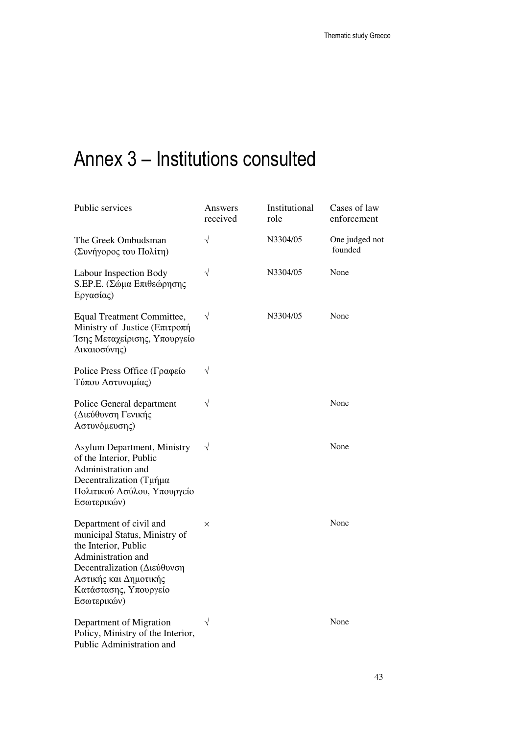# Annex 3 – Institutions consulted

| Public services                                                                                                                                                                                        | Answers<br>received | Institutional<br>role | Cases of law<br>enforcement |
|--------------------------------------------------------------------------------------------------------------------------------------------------------------------------------------------------------|---------------------|-----------------------|-----------------------------|
| The Greek Ombudsman<br>(Συνήγορος του Πολίτη)                                                                                                                                                          | $\sqrt{}$           | N3304/05              | One judged not<br>founded   |
| Labour Inspection Body<br>S.EP.E. (Σώμα Επιθεώρησης<br>Εργασίας)                                                                                                                                       | $\sqrt{}$           | N3304/05              | None                        |
| Equal Treatment Committee,<br>Ministry of Justice (Επιτροπή<br>Ίσης Μεταχείρισης, Υπουργείο<br>Δικαιοσύνης)                                                                                            | $\sqrt{}$           | N3304/05              | None                        |
| Police Press Office (Γραφείο<br>Τύπου Αστυνομίας)                                                                                                                                                      | $\sqrt{}$           |                       |                             |
| Police General department<br>(Διεύθυνση Γενικής<br>Αστυνόμευσης)                                                                                                                                       | $\sqrt{}$           |                       | None                        |
| <b>Asylum Department, Ministry</b><br>of the Interior, Public<br>Administration and<br>Decentralization (Τμήμα<br>Πολιτικού Ασύλου, Υπουργείο<br>Εσωτερικών)                                           | $\sqrt{}$           |                       | None                        |
| Department of civil and<br>municipal Status, Ministry of<br>the Interior, Public<br>Administration and<br>Decentralization (Διεύθυνση<br>Αστικής και Δημοτικής<br>Κατάστασης, Υπουργείο<br>Εσωτερικών) | $\times$            |                       | None                        |
| Department of Migration<br>Policy, Ministry of the Interior,<br>Public Administration and                                                                                                              | $\sqrt{}$           |                       | None                        |